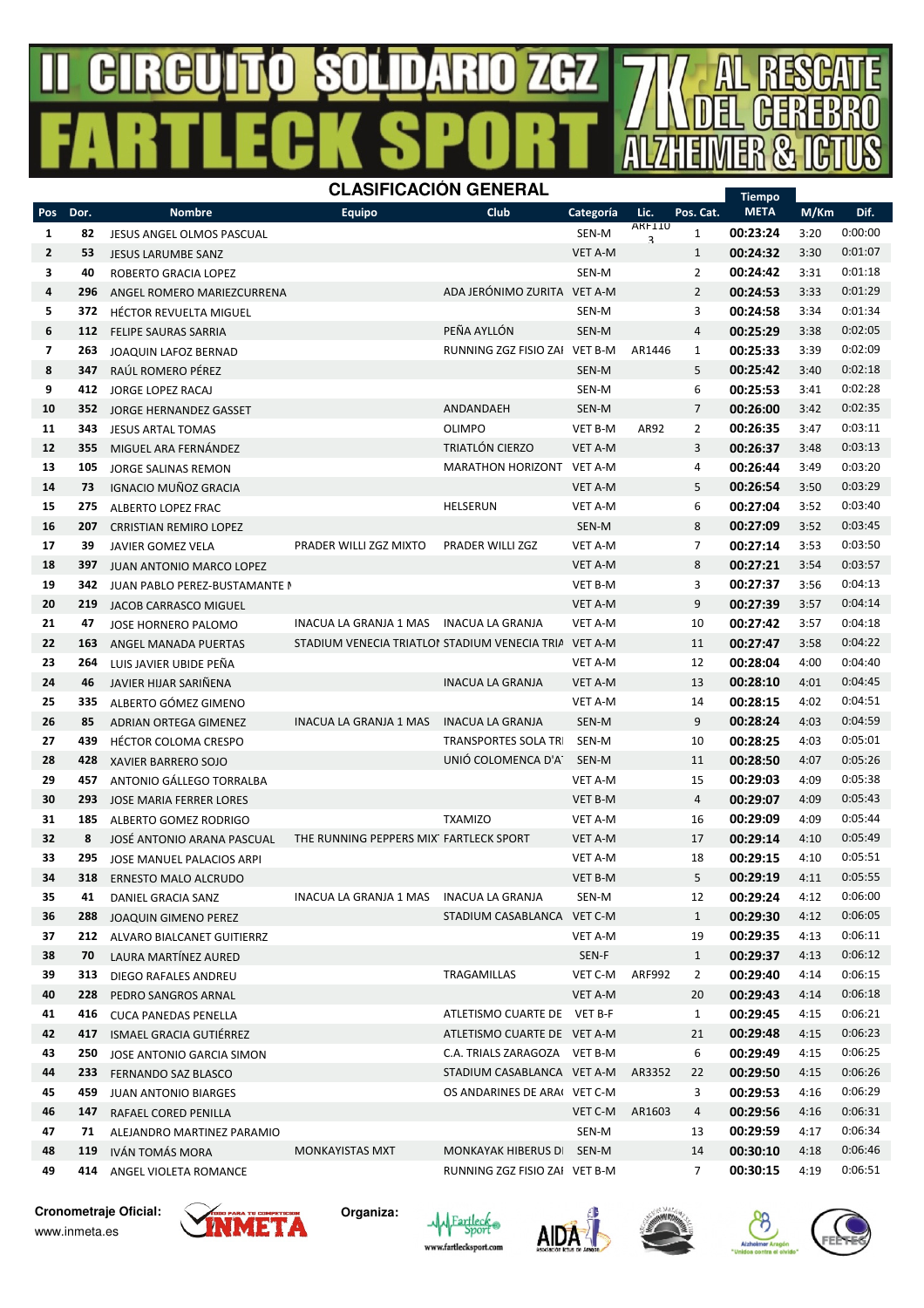# **SOLDARO** 74.74



### **Cronometraje Oficial:**



**Organiza:**











www.inmeta.es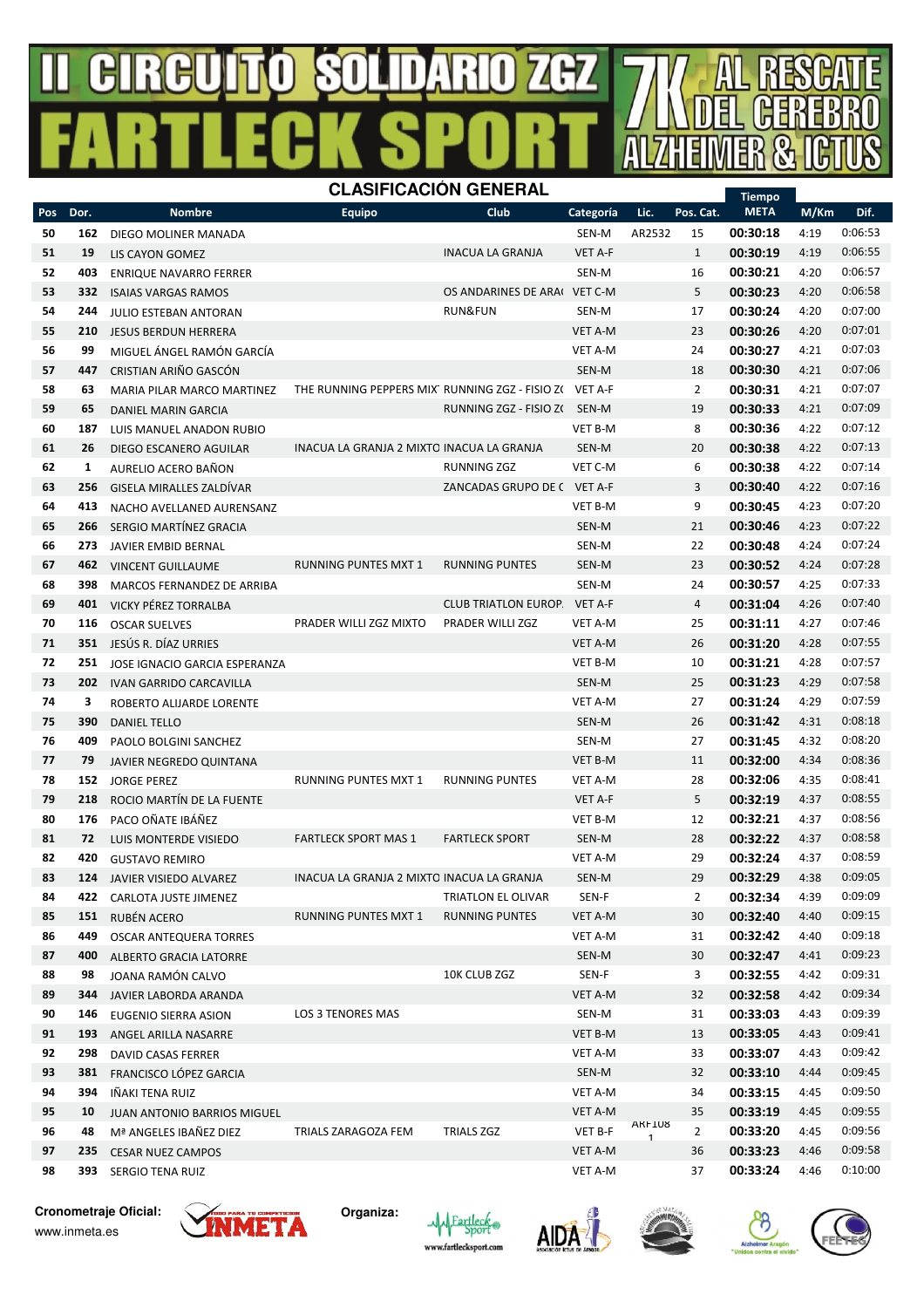#### 号  $\ddot{\phantom{a}}$ Н  $\mathbf{\mathbf{\mathsf{u}}}$ R  $HZ$ A Л Υ, **CLASIFICACIÓN GENERAL**



|            |      |                                      |                                                 |                            |                |              |                | <b>Tiempo</b> |      |         |
|------------|------|--------------------------------------|-------------------------------------------------|----------------------------|----------------|--------------|----------------|---------------|------|---------|
| <b>Pos</b> | Dor. | <b>Nombre</b>                        | Equipo                                          | Club                       | Categoría      | Lic.         | Pos. Cat.      | <b>META</b>   | M/Km | Dif.    |
| 50         | 162  | DIEGO MOLINER MANADA                 |                                                 |                            | SEN-M          | AR2532       | 15             | 00:30:18      | 4:19 | 0:06:53 |
| 51         | 19   | LIS CAYON GOMEZ                      |                                                 | <b>INACUA LA GRANJA</b>    | VET A-F        |              | $\mathbf{1}$   | 00:30:19      | 4:19 | 0:06:55 |
| 52         | 403  | <b>ENRIQUE NAVARRO FERRER</b>        |                                                 |                            | SEN-M          |              | 16             | 00:30:21      | 4:20 | 0:06:57 |
| 53         | 332  | <b>ISAIAS VARGAS RAMOS</b>           |                                                 | OS ANDARINES DE ARA        | VET C-M        |              | 5              | 00:30:23      | 4:20 | 0:06:58 |
| 54         | 244  | <b>JULIO ESTEBAN ANTORAN</b>         |                                                 | <b>RUN&amp;FUN</b>         | SEN-M          |              | 17             | 00:30:24      | 4:20 | 0:07:00 |
| 55         | 210  | <b>JESUS BERDUN HERRERA</b>          |                                                 |                            | <b>VET A-M</b> |              | 23             | 00:30:26      | 4:20 | 0:07:01 |
| 56         | 99   | MIGUEL ÁNGEL RAMÓN GARCÍA            |                                                 |                            | VET A-M        |              | 24             | 00:30:27      | 4:21 | 0:07:03 |
| 57         | 447  | CRISTIAN ARIÑO GASCÓN                |                                                 |                            | SEN-M          |              | 18             | 00:30:30      | 4:21 | 0:07:06 |
| 58         | 63   | MARIA PILAR MARCO MARTINEZ           | THE RUNNING PEPPERS MIX' RUNNING ZGZ - FISIO ZO |                            | VET A-F        |              | $\overline{2}$ | 00:30:31      | 4:21 | 0:07:07 |
| 59         | 65   | <b>DANIEL MARIN GARCIA</b>           |                                                 | RUNNING ZGZ - FISIO ZO     | SEN-M          |              | 19             | 00:30:33      | 4:21 | 0:07:09 |
| 60         | 187  | LUIS MANUEL ANADON RUBIO             |                                                 |                            | <b>VET B-M</b> |              | 8              | 00:30:36      | 4:22 | 0:07:12 |
| 61         | 26   | DIEGO ESCANERO AGUILAR               | INACUA LA GRANJA 2 MIXTO INACUA LA GRANJA       |                            | SEN-M          |              | 20             | 00:30:38      | 4:22 | 0:07:13 |
| 62         | 1    | AURELIO ACERO BAÑON                  |                                                 | <b>RUNNING ZGZ</b>         | VET C-M        |              | 6              | 00:30:38      | 4:22 | 0:07:14 |
| 63         | 256  |                                      |                                                 | ZANCADAS GRUPO DE (        | VET A-F        |              | 3              | 00:30:40      | 4:22 | 0:07:16 |
|            |      | GISELA MIRALLES ZALDÍVAR             |                                                 |                            |                |              |                | 00:30:45      |      | 0:07:20 |
| 64         | 413  | NACHO AVELLANED AURENSANZ            |                                                 |                            | VET B-M        |              | 9              |               | 4:23 | 0:07:22 |
| 65         | 266  | SERGIO MARTÍNEZ GRACIA               |                                                 |                            | SEN-M          |              | 21             | 00:30:46      | 4:23 |         |
| 66         | 273  | <b>JAVIER EMBID BERNAL</b>           |                                                 |                            | SEN-M          |              | 22             | 00:30:48      | 4:24 | 0:07:24 |
| 67         | 462  | <b>VINCENT GUILLAUME</b>             | <b>RUNNING PUNTES MXT 1</b>                     | <b>RUNNING PUNTES</b>      | SEN-M          |              | 23             | 00:30:52      | 4:24 | 0:07:28 |
| 68         | 398  | MARCOS FERNANDEZ DE ARRIBA           |                                                 |                            | SEN-M          |              | 24             | 00:30:57      | 4:25 | 0:07:33 |
| 69         | 401  | VICKY PÉREZ TORRALBA                 |                                                 | <b>CLUB TRIATLON EUROP</b> | <b>VET A-F</b> |              | 4              | 00:31:04      | 4:26 | 0:07:40 |
| 70         | 116  | <b>OSCAR SUELVES</b>                 | PRADER WILLI ZGZ MIXTO                          | PRADER WILLI ZGZ           | <b>VET A-M</b> |              | 25             | 00:31:11      | 4:27 | 0:07:46 |
| 71         | 351  | JESÚS R. DÍAZ URRIES                 |                                                 |                            | VET A-M        |              | 26             | 00:31:20      | 4:28 | 0:07:55 |
| 72         | 251  | <b>JOSE IGNACIO GARCIA ESPERANZA</b> |                                                 |                            | VET B-M        |              | 10             | 00:31:21      | 4:28 | 0:07:57 |
| 73         | 202  | <b>IVAN GARRIDO CARCAVILLA</b>       |                                                 |                            | SEN-M          |              | 25             | 00:31:23      | 4:29 | 0:07:58 |
| 74         | 3    | ROBERTO ALIJARDE LORENTE             |                                                 |                            | VET A-M        |              | 27             | 00:31:24      | 4:29 | 0:07:59 |
| 75         | 390  | DANIEL TELLO                         |                                                 |                            | SEN-M          |              | 26             | 00:31:42      | 4:31 | 0:08:18 |
| 76         | 409  | PAOLO BOLGINI SANCHEZ                |                                                 |                            | SEN-M          |              | 27             | 00:31:45      | 4:32 | 0:08:20 |
| 77         | 79   | JAVIER NEGREDO QUINTANA              |                                                 |                            | VET B-M        |              | 11             | 00:32:00      | 4:34 | 0:08:36 |
| 78         | 152  | <b>JORGE PEREZ</b>                   | <b>RUNNING PUNTES MXT 1</b>                     | <b>RUNNING PUNTES</b>      | VET A-M        |              | 28             | 00:32:06      | 4:35 | 0:08:41 |
| 79         | 218  | ROCIO MARTÍN DE LA FUENTE            |                                                 |                            | VET A-F        |              | 5              | 00:32:19      | 4:37 | 0:08:55 |
| 80         | 176  | PACO OÑATE IBÁÑEZ                    |                                                 |                            | VET B-M        |              | 12             | 00:32:21      | 4:37 | 0:08:56 |
| 81         | 72   | LUIS MONTERDE VISIEDO                | <b>FARTLECK SPORT MAS 1</b>                     | <b>FARTLECK SPORT</b>      | SEN-M          |              | 28             | 00:32:22      | 4:37 | 0:08:58 |
| 82         | 420  | <b>GUSTAVO REMIRO</b>                |                                                 |                            | VET A-M        |              | 29             | 00:32:24      | 4:37 | 0:08:59 |
| 83         | 124  | <b>JAVIER VISIEDO ALVAREZ</b>        | INACUA LA GRANJA 2 MIXTO INACUA LA GRANJA       |                            | SEN-M          |              | 29             | 00:32:29      | 4:38 | 0:09:05 |
| 84         | 422  | CARLOTA JUSTE JIMENEZ                |                                                 | TRIATLON EL OLIVAR         | SEN-F          |              | $\overline{2}$ | 00:32:34      | 4:39 | 0:09:09 |
| 85         | 151  | RUBÉN ACERO                          | RUNNING PUNTES MXT 1                            | <b>RUNNING PUNTES</b>      | VET A-M        |              | 30             | 00:32:40      | 4:40 | 0:09:15 |
| 86         | 449  | OSCAR ANTEQUERA TORRES               |                                                 |                            | VET A-M        |              | 31             | 00:32:42      | 4:40 | 0:09:18 |
| 87         | 400  | ALBERTO GRACIA LATORRE               |                                                 |                            | SEN-M          |              | 30             | 00:32:47      | 4:41 | 0:09:23 |
| 88         | 98   | JOANA RAMÓN CALVO                    |                                                 | 10K CLUB ZGZ               | SEN-F          |              | 3              | 00:32:55      | 4:42 | 0:09:31 |
| 89         | 344  | JAVIER LABORDA ARANDA                |                                                 |                            | VET A-M        |              | 32             | 00:32:58      | 4:42 | 0:09:34 |
| 90         | 146  | EUGENIO SIERRA ASION                 | LOS 3 TENORES MAS                               |                            | SEN-M          |              | 31             | 00:33:03      | 4:43 | 0:09:39 |
| 91         | 193  | ANGEL ARILLA NASARRE                 |                                                 |                            | VET B-M        |              | 13             | 00:33:05      | 4:43 | 0:09:41 |
| 92         | 298  | DAVID CASAS FERRER                   |                                                 |                            | VET A-M        |              | 33             | 00:33:07      | 4:43 | 0:09:42 |
| 93         | 381  | FRANCISCO LÓPEZ GARCIA               |                                                 |                            | SEN-M          |              | 32             | 00:33:10      | 4:44 | 0:09:45 |
| 94         | 394  | IÑAKI TENA RUIZ                      |                                                 |                            | VET A-M        |              | 34             | 00:33:15      | 4:45 | 0:09:50 |
| 95         | 10   | JUAN ANTONIO BARRIOS MIGUEL          |                                                 |                            | VET A-M        |              | 35             | 00:33:19      | 4:45 | 0:09:55 |
| 96         | 48   | Mª ANGELES IBAÑEZ DIEZ               | TRIALS ZARAGOZA FEM                             | TRIALS ZGZ                 | VET B-F        | AKF108       | $\overline{2}$ | 00:33:20      | 4:45 | 0:09:56 |
| 97         | 235  | <b>CESAR NUEZ CAMPOS</b>             |                                                 |                            | VET A-M        | $\mathbf{1}$ | 36             | 00:33:23      | 4:46 | 0:09:58 |
| 98         | 393  | SERGIO TENA RUIZ                     |                                                 |                            | VET A-M        |              | 37             | 00:33:24      | 4:46 | 0:10:00 |
|            |      |                                      |                                                 |                            |                |              |                |               |      |         |

**Cronometraje Oficial:**

www.inmeta.es











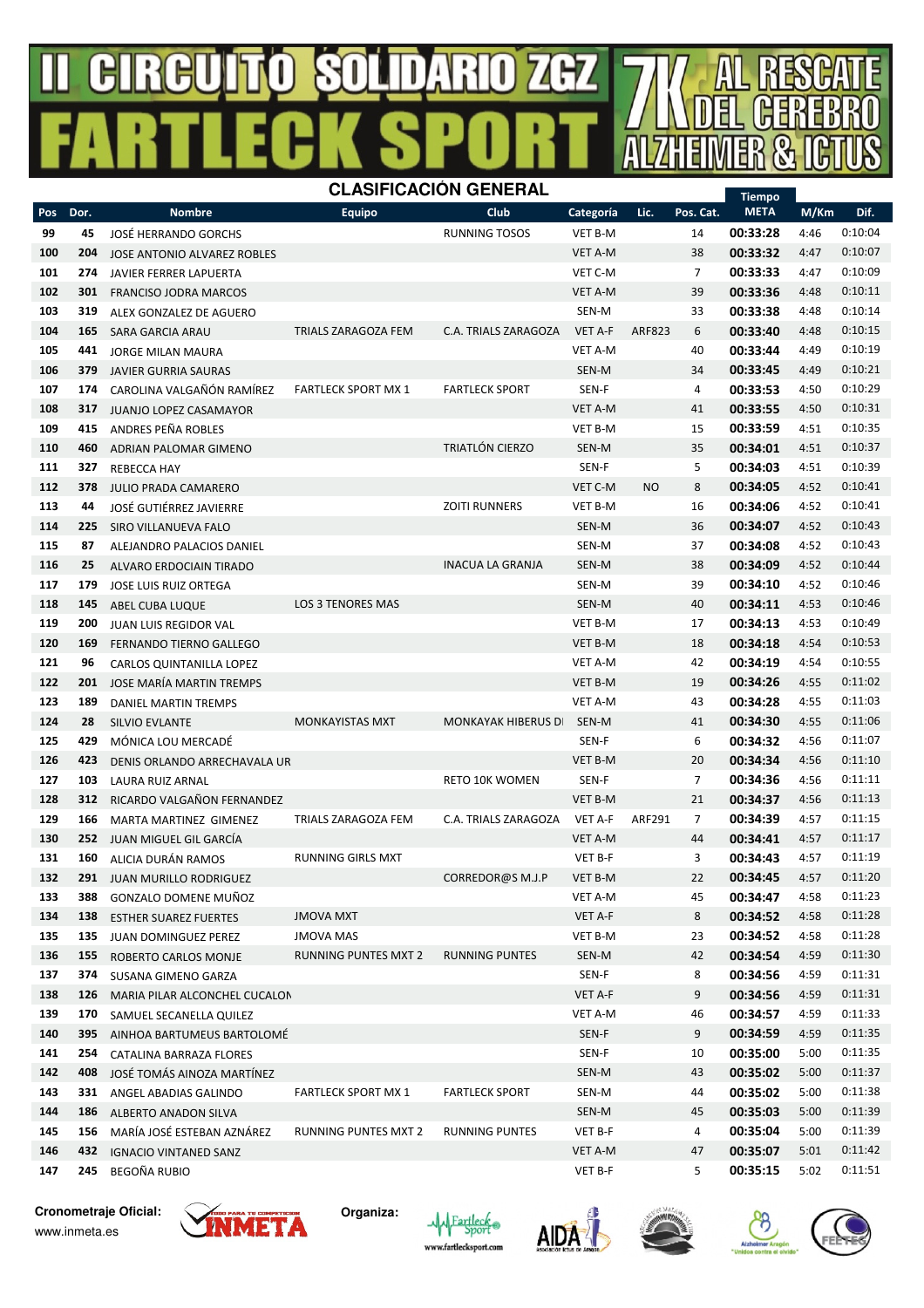#### $\mathbb{G}% _{M_{1},M_{2}}^{\alpha,\beta}$ R R  $H$ J 号 Ţ I P.



|            |            |                                                       |                            | <b>CLASIFICACION GENERAL</b> |                |               |                | <b>Tiempo</b>        |              |                    |
|------------|------------|-------------------------------------------------------|----------------------------|------------------------------|----------------|---------------|----------------|----------------------|--------------|--------------------|
| Pos        | Dor.       | <b>Nombre</b>                                         | <b>Equipo</b>              | <b>Club</b>                  | Categoría      | Lic.          | Pos. Cat.      | <b>META</b>          | M/Km         | Dif.               |
| 99         | 45         | JOSÉ HERRANDO GORCHS                                  |                            | <b>RUNNING TOSOS</b>         | VET B-M        |               | 14             | 00:33:28             | 4:46         | 0:10:04            |
| 100        | 204        | JOSE ANTONIO ALVAREZ ROBLES                           |                            |                              | <b>VET A-M</b> |               | 38             | 00:33:32             | 4:47         | 0:10:07            |
| 101        | 274        | JAVIER FERRER LAPUERTA                                |                            |                              | VET C-M        |               | 7              | 00:33:33             | 4:47         | 0:10:09            |
| 102        | 301        | <b>FRANCISO JODRA MARCOS</b>                          |                            |                              | <b>VET A-M</b> |               | 39             | 00:33:36             | 4:48         | 0:10:11            |
| 103        | 319        | ALEX GONZALEZ DE AGUERO                               |                            |                              | SEN-M          |               | 33             | 00:33:38             | 4:48         | 0:10:14            |
| 104        | 165        | SARA GARCIA ARAU                                      | TRIALS ZARAGOZA FEM        | C.A. TRIALS ZARAGOZA         | <b>VET A-F</b> | <b>ARF823</b> | 6              | 00:33:40             | 4:48         | 0:10:15            |
| 105        | 441        | JORGE MILAN MAURA                                     |                            |                              | VET A-M        |               | 40             | 00:33:44             | 4:49         | 0:10:19            |
| 106        | 379        | <b>JAVIER GURRIA SAURAS</b>                           |                            |                              | SEN-M          |               | 34             | 00:33:45             | 4:49         | 0:10:21            |
| 107        | 174        | CAROLINA VALGAÑÓN RAMÍREZ                             | <b>FARTLECK SPORT MX 1</b> | <b>FARTLECK SPORT</b>        | SEN-F          |               | 4              | 00:33:53             | 4:50         | 0:10:29            |
| 108        | 317        | JUANJO LOPEZ CASAMAYOR                                |                            |                              | VET A-M        |               | 41             | 00:33:55             | 4:50         | 0:10:31            |
| 109        | 415        | ANDRES PEÑA ROBLES                                    |                            |                              | VET B-M        |               | 15             | 00:33:59             | 4:51         | 0:10:35            |
| 110        | 460        | ADRIAN PALOMAR GIMENO                                 |                            | TRIATLÓN CIERZO              | SEN-M          |               | 35             | 00:34:01             | 4:51         | 0:10:37            |
| 111        | 327        | <b>REBECCA HAY</b>                                    |                            |                              | SEN-F          |               | 5              | 00:34:03             | 4:51         | 0:10:39            |
| 112        | 378        | <b>JULIO PRADA CAMARERO</b>                           |                            |                              | VET C-M        | <b>NO</b>     | 8              | 00:34:05             | 4:52         | 0:10:41            |
| 113        | 44         | <b>JOSÉ GUTIÉRREZ JAVIERRE</b>                        |                            | <b>ZOITI RUNNERS</b>         | VET B-M        |               | 16             | 00:34:06             | 4:52         | 0:10:41            |
| 114        | 225        | SIRO VILLANUEVA FALO                                  |                            |                              | SEN-M          |               | 36             | 00:34:07             | 4:52         | 0:10:43            |
| 115        | 87         | ALEJANDRO PALACIOS DANIEL                             |                            |                              | SEN-M          |               | 37             | 00:34:08             | 4:52         | 0:10:43            |
| 116        | 25         | ALVARO ERDOCIAIN TIRADO                               |                            | <b>INACUA LA GRANJA</b>      | SEN-M          |               | 38             | 00:34:09             | 4:52         | 0:10:44            |
| 117        | 179        | JOSE LUIS RUIZ ORTEGA                                 |                            |                              | SEN-M          |               | 39             | 00:34:10             | 4:52         | 0:10:46            |
| 118        | 145        | ABEL CUBA LUQUE                                       | <b>LOS 3 TENORES MAS</b>   |                              | SEN-M          |               | 40             | 00:34:11             | 4:53         | 0:10:46            |
| 119        | 200        | JUAN LUIS REGIDOR VAL                                 |                            |                              | <b>VET B-M</b> |               | 17             | 00:34:13             | 4:53         | 0:10:49            |
| 120        | 169        | <b>FERNANDO TIERNO GALLEGO</b>                        |                            |                              | <b>VET B-M</b> |               | 18             | 00:34:18             | 4:54         | 0:10:53            |
| 121        | 96         | CARLOS QUINTANILLA LOPEZ                              |                            |                              | VET A-M        |               | 42             | 00:34:19             | 4:54         | 0:10:55            |
| 122        | 201        | JOSE MARÍA MARTIN TREMPS                              |                            |                              | <b>VET B-M</b> |               | 19             | 00:34:26             | 4:55         | 0:11:02            |
| 123        | 189        | DANIEL MARTIN TREMPS                                  |                            |                              | <b>VET A-M</b> |               | 43             | 00:34:28             | 4:55         | 0:11:03            |
| 124        | 28         | <b>SILVIO EVLANTE</b>                                 | <b>MONKAYISTAS MXT</b>     | <b>MONKAYAK HIBERUS D</b>    | SEN-M          |               | 41             | 00:34:30             | 4:55         | 0:11:06            |
| 125        | 429        | MÓNICA LOU MERCADÉ                                    |                            |                              | SEN-F          |               | 6              | 00:34:32             | 4:56         | 0:11:07            |
| 126        | 423        | DENIS ORLANDO ARRECHAVALA UR                          |                            |                              | <b>VET B-M</b> |               | 20             | 00:34:34             | 4:56         | 0:11:10            |
| 127        | 103        | LAURA RUIZ ARNAL                                      |                            | <b>RETO 10K WOMEN</b>        | SEN-F          |               | 7              | 00:34:36             | 4:56         | 0:11:11            |
| 128        | 312        | RICARDO VALGAÑON FERNANDEZ                            |                            |                              | VET B-M        |               | 21             | 00:34:37             | 4:56         | 0:11:13            |
| 129        | 166        | MARTA MARTINEZ GIMENEZ                                | TRIALS ZARAGOZA FEM        | C.A. TRIALS ZARAGOZA         | VET A-F        | ARF291        | $\overline{7}$ | 00:34:39             | 4:57         | 0:11:15            |
| 130        | 252        | JUAN MIGUEL GIL GARCÍA                                |                            |                              | <b>VET A-M</b> |               | 44             | 00:34:41             | 4:57         | 0:11:17            |
| 131        | 160        | ALICIA DURÁN RAMOS                                    | <b>RUNNING GIRLS MXT</b>   |                              | VET B-F        |               | 3              | 00:34:43             | 4:57         | 0:11:19            |
| 132        | 291        | JUAN MURILLO RODRIGUEZ                                |                            | CORREDOR@S M.J.P             | <b>VET B-M</b> |               | 22             | 00:34:45             | 4:57         | 0:11:20            |
| 133        | 388        | GONZALO DOMENE MUÑOZ                                  |                            |                              | VET A-M        |               | 45             | 00:34:47             | 4:58         | 0:11:23            |
| 134        | 138        | <b>ESTHER SUAREZ FUERTES</b>                          | <b>JMOVA MXT</b>           |                              | VET A-F        |               | 8              | 00:34:52             | 4:58         | 0:11:28            |
| 135        |            | 135 JUAN DOMINGUEZ PEREZ                              | <b>JMOVA MAS</b>           |                              | VET B-M        |               | 23             | 00:34:52             | 4:58         | 0:11:28            |
| 136        | 155        | ROBERTO CARLOS MONJE                                  | RUNNING PUNTES MXT 2       | <b>RUNNING PUNTES</b>        | SEN-M          |               | 42             | 00:34:54             | 4:59         | 0:11:30<br>0:11:31 |
| 137        | 374        | SUSANA GIMENO GARZA                                   |                            |                              | SEN-F          |               | 8              | 00:34:56<br>00:34:56 | 4:59         | 0:11:31            |
| 138        | 126        | MARIA PILAR ALCONCHEL CUCALON                         |                            |                              | VET A-F        |               | 9              | 00:34:57             | 4:59         | 0:11:33            |
| 139        | 170        | SAMUEL SECANELLA QUILEZ                               |                            |                              | VET A-M        |               | 46             | 00:34:59             | 4:59         | 0:11:35            |
| 140        | 395        | AINHOA BARTUMEUS BARTOLOMÉ                            |                            |                              | SEN-F<br>SEN-F |               | 9              | 00:35:00             | 4:59<br>5:00 | 0:11:35            |
| 141<br>142 | 254<br>408 | CATALINA BARRAZA FLORES<br>JOSÉ TOMÁS AINOZA MARTÍNEZ |                            |                              | SEN-M          |               | 10<br>43       | 00:35:02             | 5:00         | 0:11:37            |
| 143        |            |                                                       |                            |                              | SEN-M          |               |                | 00:35:02             |              | 0:11:38            |
| 144        | 331<br>186 | ANGEL ABADIAS GALINDO<br>ALBERTO ANADON SILVA         | <b>FARTLECK SPORT MX 1</b> | <b>FARTLECK SPORT</b>        | SEN-M          |               | 44<br>45       | 00:35:03             | 5:00<br>5:00 | 0:11:39            |
| 145        | 156        | MARÍA JOSÉ ESTEBAN AZNÁREZ                            | RUNNING PUNTES MXT 2       | RUNNING PUNTES               | VET B-F        |               | 4              | 00:35:04             | 5:00         | 0:11:39            |
| 146        | 432        | <b>IGNACIO VINTANED SANZ</b>                          |                            |                              | VET A-M        |               | 47             | 00:35:07             | 5:01         | 0:11:42            |
| 147        | 245        | BEGOÑA RUBIO                                          |                            |                              | VET B-F        |               | 5              | 00:35:15             | 5:02         | 0:11:51            |
|            |            |                                                       |                            |                              |                |               |                |                      |              |                    |

**Cronometraje Oficial:** www.inmeta.es











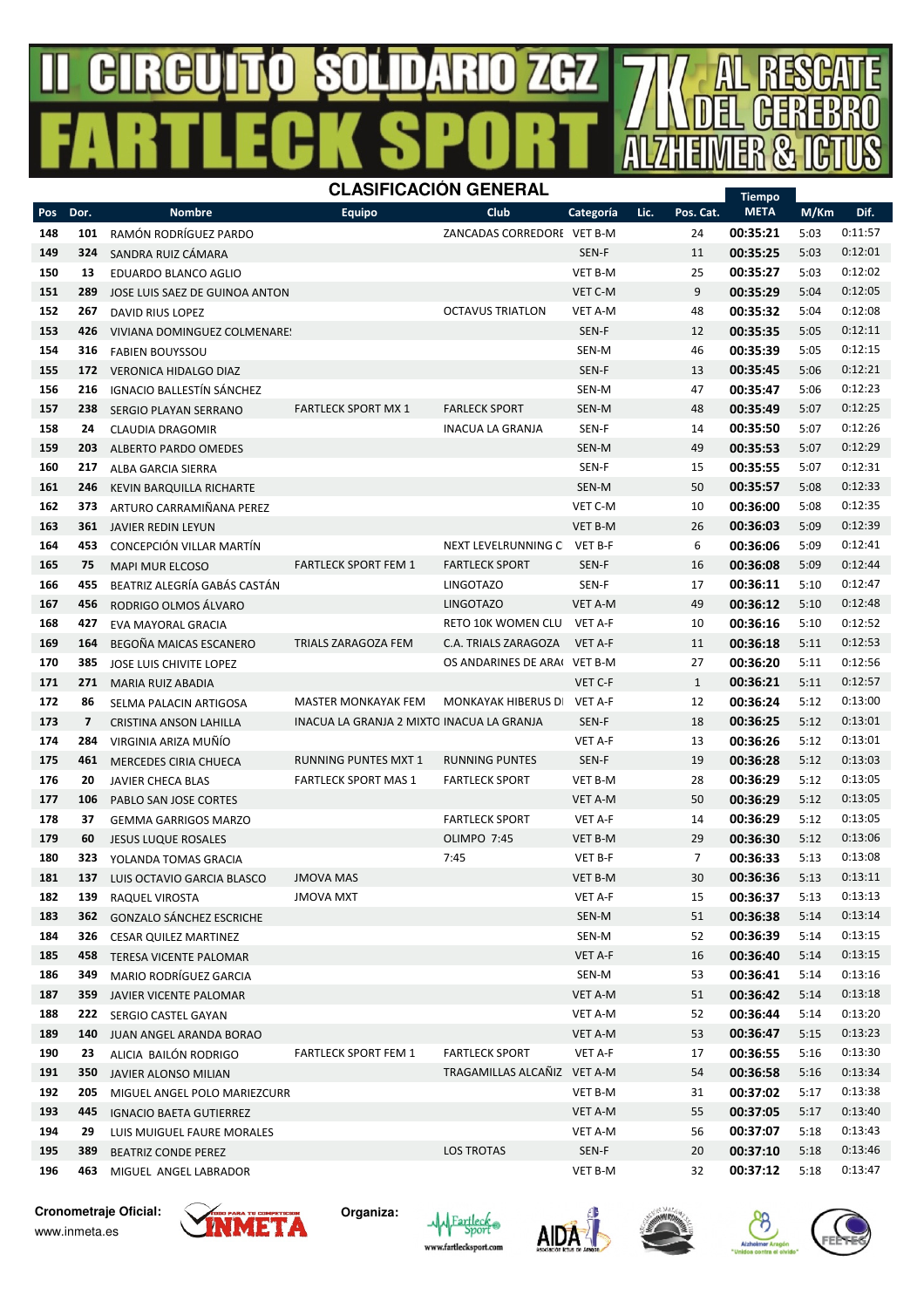#### R  $\mathbf{B}$  $\mathbf{\mathbf{\mathsf{u}}}$ R (H7 号  $\frac{1}{2}$ Ш I N



|     |                          |                                 |                                           | ᄓᅴ                           |                |                   | <b>Tiempo</b> |      |         |
|-----|--------------------------|---------------------------------|-------------------------------------------|------------------------------|----------------|-------------------|---------------|------|---------|
| Pos | Dor.                     | <b>Nombre</b>                   | <b>Equipo</b>                             | Club                         | Categoría      | Lic.<br>Pos. Cat. | <b>META</b>   | M/Km | Dif.    |
| 148 | 101                      | RAMÓN RODRÍGUEZ PARDO           |                                           | ZANCADAS CORREDORE VET B-M   |                | 24                | 00:35:21      | 5:03 | 0:11:57 |
| 149 | 324                      | SANDRA RUIZ CÁMARA              |                                           |                              | SEN-F          | 11                | 00:35:25      | 5:03 | 0:12:01 |
| 150 | 13                       | EDUARDO BLANCO AGLIO            |                                           |                              | <b>VET B-M</b> | 25                | 00:35:27      | 5:03 | 0:12:02 |
| 151 | 289                      | JOSE LUIS SAEZ DE GUINOA ANTON  |                                           |                              | VET C-M        | 9                 | 00:35:29      | 5:04 | 0:12:05 |
| 152 | 267                      | DAVID RIUS LOPEZ                |                                           | <b>OCTAVUS TRIATLON</b>      | VET A-M        | 48                | 00:35:32      | 5:04 | 0:12:08 |
| 153 | 426                      | VIVIANA DOMINGUEZ COLMENARE:    |                                           |                              | SEN-F          | 12                | 00:35:35      | 5:05 | 0:12:11 |
| 154 | 316                      | <b>FABIEN BOUYSSOU</b>          |                                           |                              | SEN-M          | 46                | 00:35:39      | 5:05 | 0:12:15 |
| 155 | 172                      | <b>VERONICA HIDALGO DIAZ</b>    |                                           |                              | SEN-F          | 13                | 00:35:45      | 5:06 | 0:12:21 |
| 156 | 216                      | IGNACIO BALLESTÍN SÁNCHEZ       |                                           |                              | SEN-M          | 47                | 00:35:47      | 5:06 | 0:12:23 |
| 157 | 238                      | SERGIO PLAYAN SERRANO           | <b>FARTLECK SPORT MX 1</b>                | <b>FARLECK SPORT</b>         | SEN-M          | 48                | 00:35:49      | 5:07 | 0:12:25 |
| 158 | 24                       | <b>CLAUDIA DRAGOMIR</b>         |                                           | INACUA LA GRANJA             | SEN-F          | 14                | 00:35:50      | 5:07 | 0:12:26 |
| 159 | 203                      | ALBERTO PARDO OMEDES            |                                           |                              | SEN-M          | 49                | 00:35:53      | 5:07 | 0:12:29 |
| 160 | 217                      | ALBA GARCIA SIERRA              |                                           |                              | SEN-F          | 15                | 00:35:55      | 5:07 | 0:12:31 |
| 161 | 246                      | KEVIN BARQUILLA RICHARTE        |                                           |                              | SEN-M          | 50                | 00:35:57      | 5:08 | 0:12:33 |
| 162 | 373                      | ARTURO CARRAMIÑANA PEREZ        |                                           |                              | VET C-M        | 10                | 00:36:00      | 5:08 | 0:12:35 |
| 163 | 361                      | JAVIER REDIN LEYUN              |                                           |                              | <b>VET B-M</b> | 26                | 00:36:03      | 5:09 | 0:12:39 |
| 164 | 453                      | CONCEPCIÓN VILLAR MARTÍN        |                                           | NEXT LEVELRUNNING C          | <b>VET B-F</b> | 6                 | 00:36:06      | 5:09 | 0:12:41 |
| 165 | 75                       | <b>MAPI MUR ELCOSO</b>          | <b>FARTLECK SPORT FEM 1</b>               | <b>FARTLECK SPORT</b>        | SEN-F          | 16                | 00:36:08      | 5:09 | 0:12:44 |
| 166 | 455                      | BEATRIZ ALEGRÍA GABÁS CASTÁN    |                                           | <b>LINGOTAZO</b>             | SEN-F          | 17                | 00:36:11      | 5:10 | 0:12:47 |
| 167 | 456                      | RODRIGO OLMOS ÁLVARO            |                                           | <b>LINGOTAZO</b>             | VET A-M        | 49                | 00:36:12      | 5:10 | 0:12:48 |
| 168 | 427                      | <b>EVA MAYORAL GRACIA</b>       |                                           | RETO 10K WOMEN CLU           | VET A-F        | 10                | 00:36:16      | 5:10 | 0:12:52 |
| 169 | 164                      | BEGOÑA MAICAS ESCANERO          | TRIALS ZARAGOZA FEM                       | C.A. TRIALS ZARAGOZA         | VET A-F        | 11                | 00:36:18      | 5:11 | 0:12:53 |
| 170 | 385                      | JOSE LUIS CHIVITE LOPEZ         |                                           | OS ANDARINES DE ARAI VET B-M |                | 27                | 00:36:20      | 5:11 | 0:12:56 |
| 171 | 271                      | MARIA RUIZ ABADIA               |                                           |                              | VET C-F        | $\mathbf{1}$      | 00:36:21      | 5:11 | 0:12:57 |
| 172 | 86                       | SELMA PALACIN ARTIGOSA          | <b>MASTER MONKAYAK FEM</b>                | MONKAYAK HIBERUS D           | VET A-F        | 12                | 00:36:24      | 5:12 | 0:13:00 |
| 173 | $\overline{\phantom{a}}$ | CRISTINA ANSON LAHILLA          | INACUA LA GRANJA 2 MIXTO INACUA LA GRANJA |                              | SEN-F          | 18                | 00:36:25      | 5:12 | 0:13:01 |
| 174 | 284                      | VIRGINIA ARIZA MUÑÍO            |                                           |                              | VET A-F        | 13                | 00:36:26      | 5:12 | 0:13:01 |
| 175 | 461                      | <b>MERCEDES CIRIA CHUECA</b>    | RUNNING PUNTES MXT 1                      | <b>RUNNING PUNTES</b>        | SEN-F          | 19                | 00:36:28      | 5:12 | 0:13:03 |
| 176 | 20                       | <b>JAVIER CHECA BLAS</b>        | <b>FARTLECK SPORT MAS 1</b>               | <b>FARTLECK SPORT</b>        | <b>VET B-M</b> | 28                | 00:36:29      | 5:12 | 0:13:05 |
| 177 | 106                      | PABLO SAN JOSE CORTES           |                                           |                              | <b>VET A-M</b> | 50                | 00:36:29      | 5:12 | 0:13:05 |
| 178 | 37                       | <b>GEMMA GARRIGOS MARZO</b>     |                                           | <b>FARTLECK SPORT</b>        | VET A-F        | 14                | 00:36:29      | 5:12 | 0:13:05 |
| 179 | 60                       | <b>JESUS LUQUE ROSALES</b>      |                                           | OLIMPO 7:45                  | <b>VET B-M</b> | 29                | 00:36:30      | 5:12 | 0:13:06 |
| 180 | 323                      | YOLANDA TOMAS GRACIA            |                                           | 7:45                         | VET B-F        | 7                 | 00:36:33      | 5:13 | 0:13:08 |
| 181 | 137                      | LUIS OCTAVIO GARCIA BLASCO      | <b>JMOVA MAS</b>                          |                              | <b>VET B-M</b> | 30                | 00:36:36      | 5:13 | 0:13:11 |
| 182 | 139                      | RAQUEL VIROSTA                  | <b>JMOVA MXT</b>                          |                              | VET A-F        | 15                | 00:36:37      | 5:13 | 0:13:13 |
| 183 | 362                      | <b>GONZALO SÁNCHEZ ESCRICHE</b> |                                           |                              | SEN-M          | 51                | 00:36:38      | 5:14 | 0:13:14 |
| 184 | 326                      | <b>CESAR QUILEZ MARTINEZ</b>    |                                           |                              | SEN-M          | 52                | 00:36:39      | 5:14 | 0:13:15 |
| 185 |                          | 458 TERESA VICENTE PALOMAR      |                                           |                              | VET A-F        | 16                | 00:36:40      | 5:14 | 0:13:15 |
| 186 | 349                      | MARIO RODRÍGUEZ GARCIA          |                                           |                              | SEN-M          | 53                | 00:36:41      | 5:14 | 0:13:16 |
| 187 | 359                      | JAVIER VICENTE PALOMAR          |                                           |                              | VET A-M        | 51                | 00:36:42      | 5:14 | 0:13:18 |
| 188 | 222                      | SERGIO CASTEL GAYAN             |                                           |                              | VET A-M        | 52                | 00:36:44      | 5:14 | 0:13:20 |
| 189 | 140                      | JUAN ANGEL ARANDA BORAO         |                                           |                              | VET A-M        | 53                | 00:36:47      | 5:15 | 0:13:23 |
| 190 | 23                       | ALICIA BAILÓN RODRIGO           | <b>FARTLECK SPORT FEM 1</b>               | <b>FARTLECK SPORT</b>        | VET A-F        | 17                | 00:36:55      | 5:16 | 0:13:30 |
| 191 | 350                      | JAVIER ALONSO MILIAN            |                                           | TRAGAMILLAS ALCAÑIZ VET A-M  |                | 54                | 00:36:58      | 5:16 | 0:13:34 |
| 192 | 205                      | MIGUEL ANGEL POLO MARIEZCURR    |                                           |                              | VET B-M        | 31                | 00:37:02      | 5:17 | 0:13:38 |
| 193 | 445                      | <b>IGNACIO BAETA GUTIERREZ</b>  |                                           |                              | VET A-M        | 55                | 00:37:05      | 5:17 | 0:13:40 |
| 194 | 29                       | LUIS MUIGUEL FAURE MORALES      |                                           |                              | VET A-M        | 56                | 00:37:07      | 5:18 | 0:13:43 |
| 195 | 389                      | <b>BEATRIZ CONDE PEREZ</b>      |                                           | <b>LOS TROTAS</b>            | SEN-F          | 20                | 00:37:10      | 5:18 | 0:13:46 |
| 196 | 463                      | MIGUEL ANGEL LABRADOR           |                                           |                              | VET B-M        | 32                | 00:37:12      | 5:18 | 0:13:47 |

**Cronometraje Oficial:** www.inmeta.es









A

÷

R

厅

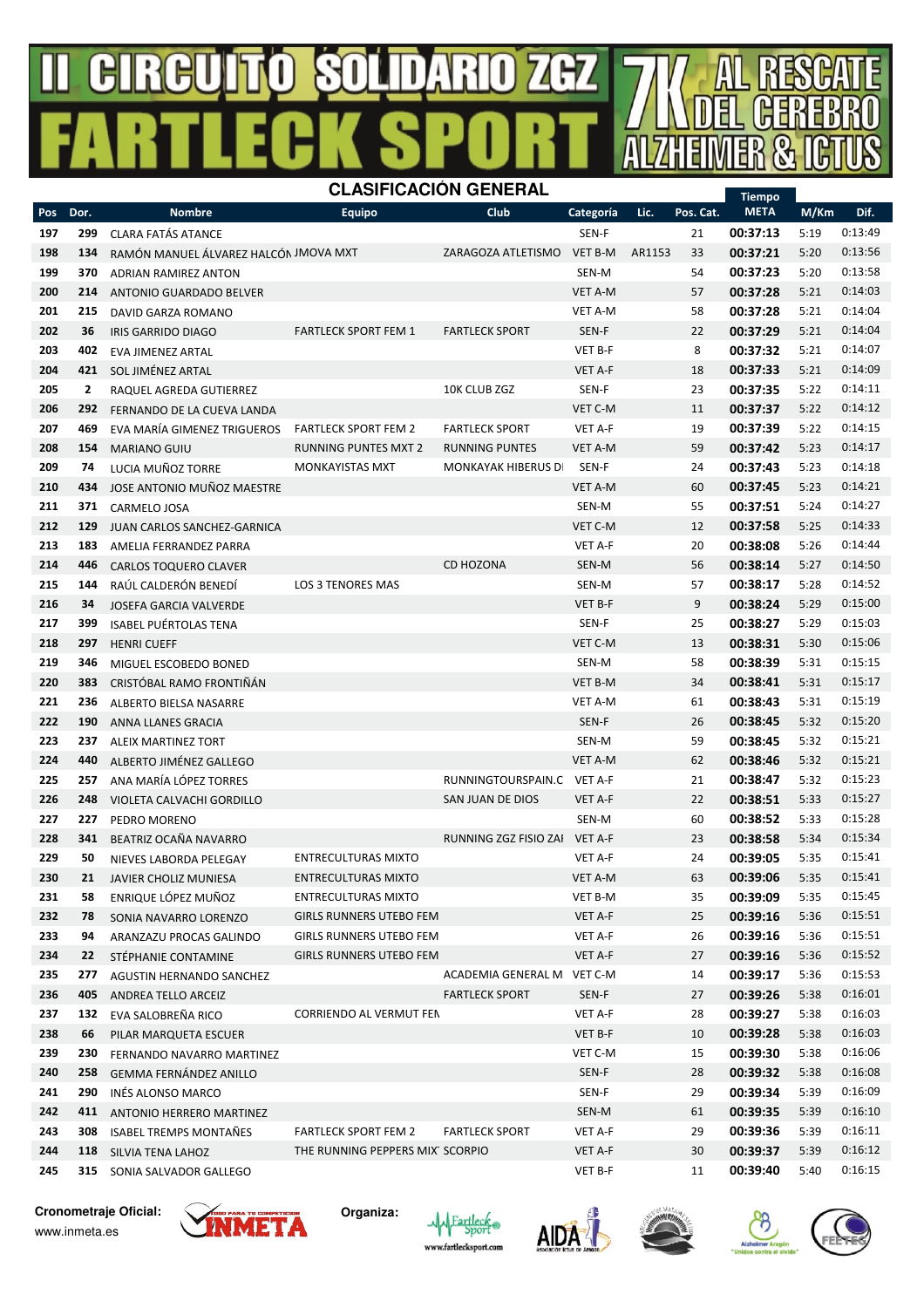#### R  $\mathbf{B}$ R (H7 号  $\frac{1}{2}$ Ш I N



|     |                |                                       |                                  | ◡                          |                |        |           | <b>Tiempo</b> |      |         |
|-----|----------------|---------------------------------------|----------------------------------|----------------------------|----------------|--------|-----------|---------------|------|---------|
| Pos | Dor.           | <b>Nombre</b>                         | <b>Equipo</b>                    | Club                       | Categoría      | Lic.   | Pos. Cat. | <b>META</b>   | M/Km | Dif.    |
| 197 | 299            | <b>CLARA FATÁS ATANCE</b>             |                                  |                            | SEN-F          |        | 21        | 00:37:13      | 5:19 | 0:13:49 |
| 198 | 134            | RAMÓN MANUEL ÁLVAREZ HALCÓN JMOVA MXT |                                  | ZARAGOZA ATLETISMO         | VET B-M        | AR1153 | 33        | 00:37:21      | 5:20 | 0:13:56 |
| 199 | 370            | <b>ADRIAN RAMIREZ ANTON</b>           |                                  |                            | SEN-M          |        | 54        | 00:37:23      | 5:20 | 0:13:58 |
| 200 | 214            | ANTONIO GUARDADO BELVER               |                                  |                            | VET A-M        |        | 57        | 00:37:28      | 5:21 | 0:14:03 |
| 201 | 215            | DAVID GARZA ROMANO                    |                                  |                            | <b>VET A-M</b> |        | 58        | 00:37:28      | 5:21 | 0:14:04 |
| 202 | 36             | IRIS GARRIDO DIAGO                    | <b>FARTLECK SPORT FEM 1</b>      | <b>FARTLECK SPORT</b>      | SEN-F          |        | 22        | 00:37:29      | 5:21 | 0:14:04 |
| 203 | 402            | <b>EVA JIMENEZ ARTAL</b>              |                                  |                            | VET B-F        |        | 8         | 00:37:32      | 5:21 | 0:14:07 |
| 204 | 421            | SOL JIMÉNEZ ARTAL                     |                                  |                            | <b>VET A-F</b> |        | 18        | 00:37:33      | 5:21 | 0:14:09 |
| 205 | $\overline{2}$ | RAQUEL AGREDA GUTIERREZ               |                                  | 10K CLUB ZGZ               | SEN-F          |        | 23        | 00:37:35      | 5:22 | 0:14:11 |
| 206 | 292            | FERNANDO DE LA CUEVA LANDA            |                                  |                            | VET C-M        |        | 11        | 00:37:37      | 5:22 | 0:14:12 |
| 207 | 469            | EVA MARÍA GIMENEZ TRIGUEROS           | <b>FARTLECK SPORT FEM 2</b>      | <b>FARTLECK SPORT</b>      | VET A-F        |        | 19        | 00:37:39      | 5:22 | 0:14:15 |
| 208 | 154            | <b>MARIANO GUIU</b>                   | <b>RUNNING PUNTES MXT 2</b>      | <b>RUNNING PUNTES</b>      | VET A-M        |        | 59        | 00:37:42      | 5:23 | 0:14:17 |
| 209 | 74             | LUCIA MUÑOZ TORRE                     | <b>MONKAYISTAS MXT</b>           | <b>MONKAYAK HIBERUS D</b>  | SEN-F          |        | 24        | 00:37:43      | 5:23 | 0:14:18 |
| 210 | 434            | JOSE ANTONIO MUÑOZ MAESTRE            |                                  |                            | VET A-M        |        | 60        | 00:37:45      | 5:23 | 0:14:21 |
| 211 | 371            | CARMELO JOSA                          |                                  |                            | SEN-M          |        | 55        | 00:37:51      | 5:24 | 0:14:27 |
| 212 | 129            | JUAN CARLOS SANCHEZ-GARNICA           |                                  |                            | VET C-M        |        | 12        | 00:37:58      | 5:25 | 0:14:33 |
| 213 | 183            | AMELIA FERRANDEZ PARRA                |                                  |                            | <b>VET A-F</b> |        | 20        | 00:38:08      | 5:26 | 0:14:44 |
| 214 | 446            | <b>CARLOS TOQUERO CLAVER</b>          |                                  | <b>CD HOZONA</b>           | SEN-M          |        | 56        | 00:38:14      | 5:27 | 0:14:50 |
| 215 | 144            | RAÚL CALDERÓN BENEDÍ                  | LOS 3 TENORES MAS                |                            | SEN-M          |        | 57        | 00:38:17      | 5:28 | 0:14:52 |
| 216 | 34             | JOSEFA GARCIA VALVERDE                |                                  |                            | VET B-F        |        | 9         | 00:38:24      | 5:29 | 0:15:00 |
| 217 | 399            | <b>ISABEL PUÉRTOLAS TENA</b>          |                                  |                            | SEN-F          |        | 25        | 00:38:27      | 5:29 | 0:15:03 |
| 218 | 297            | <b>HENRI CUEFF</b>                    |                                  |                            | VET C-M        |        | 13        | 00:38:31      | 5:30 | 0:15:06 |
| 219 | 346            | MIGUEL ESCOBEDO BONED                 |                                  |                            | SEN-M          |        | 58        | 00:38:39      | 5:31 | 0:15:15 |
| 220 | 383            | CRISTÓBAL RAMO FRONTIÑÁN              |                                  |                            | VET B-M        |        | 34        | 00:38:41      | 5:31 | 0:15:17 |
| 221 | 236            | ALBERTO BIELSA NASARRE                |                                  |                            | VET A-M        |        | 61        | 00:38:43      | 5:31 | 0:15:19 |
| 222 | 190            | ANNA LLANES GRACIA                    |                                  |                            | SEN-F          |        | 26        | 00:38:45      | 5:32 | 0:15:20 |
| 223 | 237            | <b>ALEIX MARTINEZ TORT</b>            |                                  |                            | SEN-M          |        | 59        | 00:38:45      | 5:32 | 0:15:21 |
| 224 | 440            | ALBERTO JIMÉNEZ GALLEGO               |                                  |                            | VET A-M        |        | 62        | 00:38:46      | 5:32 | 0:15:21 |
| 225 | 257            | ANA MARÍA LÓPEZ TORRES                |                                  | RUNNINGTOURSPAIN.C VET A-F |                |        | 21        | 00:38:47      | 5:32 | 0:15:23 |
| 226 | 248            | VIOLETA CALVACHI GORDILLO             |                                  | SAN JUAN DE DIOS           | <b>VET A-F</b> |        | 22        | 00:38:51      | 5:33 | 0:15:27 |
| 227 | 227            | PEDRO MORENO                          |                                  |                            | SEN-M          |        | 60        | 00:38:52      | 5:33 | 0:15:28 |
| 228 | 341            | BEATRIZ OCAÑA NAVARRO                 |                                  | RUNNING ZGZ FISIO ZAI      | VET A-F        |        | 23        | 00:38:58      | 5:34 | 0:15:34 |
| 229 | 50             | NIEVES LABORDA PELEGAY                | <b>ENTRECULTURAS MIXTO</b>       |                            | <b>VET A-F</b> |        | 24        | 00:39:05      | 5:35 | 0:15:41 |
| 230 | 21             | <b>JAVIER CHOLIZ MUNIESA</b>          | <b>ENTRECULTURAS MIXTO</b>       |                            | <b>VET A-M</b> |        | 63        | 00:39:06      | 5:35 | 0:15:41 |
| 231 | 58             | ENRIQUE LÓPEZ MUÑOZ                   | <b>ENTRECULTURAS MIXTO</b>       |                            | VET B-M        |        | 35        | 00:39:09      | 5:35 | 0:15:45 |
| 232 | 78             | SONIA NAVARRO LORENZO                 | <b>GIRLS RUNNERS UTEBO FEM</b>   |                            | VET A-F        |        | 25        | 00:39:16      | 5:36 | 0:15:51 |
| 233 | 94             | ARANZAZU PROCAS GALINDO               | <b>GIRLS RUNNERS UTEBO FEM</b>   |                            | VET A-F        |        | 26        | 00:39:16      | 5:36 | 0:15:51 |
| 234 | 22             | STÉPHANIE CONTAMINE                   | <b>GIRLS RUNNERS UTEBO FEM</b>   |                            | VET A-F        |        | 27        | 00:39:16      | 5:36 | 0:15:52 |
| 235 | 277            | AGUSTIN HERNANDO SANCHEZ              |                                  | ACADEMIA GENERAL M VET C-M |                |        | 14        | 00:39:17      | 5:36 | 0:15:53 |
| 236 | 405            | ANDREA TELLO ARCEIZ                   |                                  | <b>FARTLECK SPORT</b>      | SEN-F          |        | 27        | 00:39:26      | 5:38 | 0:16:01 |
| 237 | 132            | EVA SALOBREÑA RICO                    | CORRIENDO AL VERMUT FEN          |                            | VET A-F        |        | 28        | 00:39:27      | 5:38 | 0:16:03 |
| 238 | 66             | PILAR MARQUETA ESCUER                 |                                  |                            | VET B-F        |        | 10        | 00:39:28      | 5:38 | 0:16:03 |
| 239 | 230            | FERNANDO NAVARRO MARTINEZ             |                                  |                            | VET C-M        |        | 15        | 00:39:30      | 5:38 | 0:16:06 |
| 240 | 258            | <b>GEMMA FERNÁNDEZ ANILLO</b>         |                                  |                            | SEN-F          |        | 28        | 00:39:32      | 5:38 | 0:16:08 |
| 241 | 290            | INÉS ALONSO MARCO                     |                                  |                            | SEN-F          |        | 29        | 00:39:34      | 5:39 | 0:16:09 |
| 242 | 411            | <b>ANTONIO HERRERO MARTINEZ</b>       |                                  |                            | SEN-M          |        | 61        | 00:39:35      | 5:39 | 0:16:10 |
| 243 | 308            | ISABEL TREMPS MONTAÑES                | <b>FARTLECK SPORT FEM 2</b>      | <b>FARTLECK SPORT</b>      | VET A-F        |        | 29        | 00:39:36      | 5:39 | 0:16:11 |
| 244 | 118            | SILVIA TENA LAHOZ                     | THE RUNNING PEPPERS MIX' SCORPIO |                            | VET A-F        |        | 30        | 00:39:37      | 5:39 | 0:16:12 |
| 245 |                | 315 SONIA SALVADOR GALLEGO            |                                  |                            | VET B-F        |        | 11        | 00:39:40      | 5:40 | 0:16:15 |
|     |                |                                       |                                  |                            |                |        |           |               |      |         |

**Cronometraje Oficial:** www.inmeta.es



**Organiza:**







A

Ē

R

历

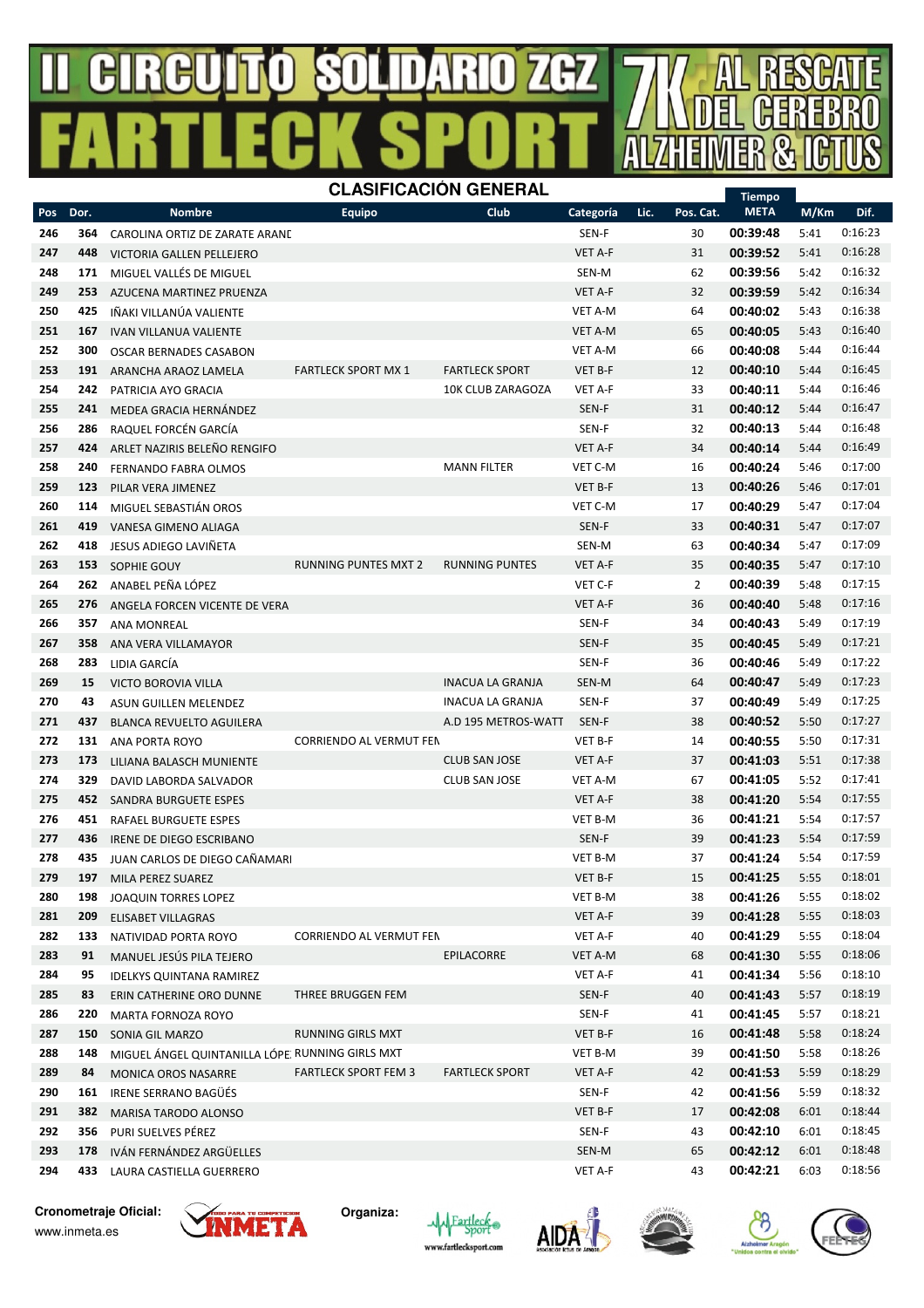## GIRGU SOLIDARIO 74H7



 178 IVÁN FERNÁNDEZ ARGÜELLES SEN-M 65 00:42:12 6:01 0:18:48 433 LAURA CASTIELLA GUERRERO VET A-F 43 00:42:21 6:03 0:18:56

**Cronometraje Oficial:** www.inmeta.es



**Organiza:**



356 PURI SUELVES PÉREZ SEN-F 43 00:42:10 6:01 0:18:45





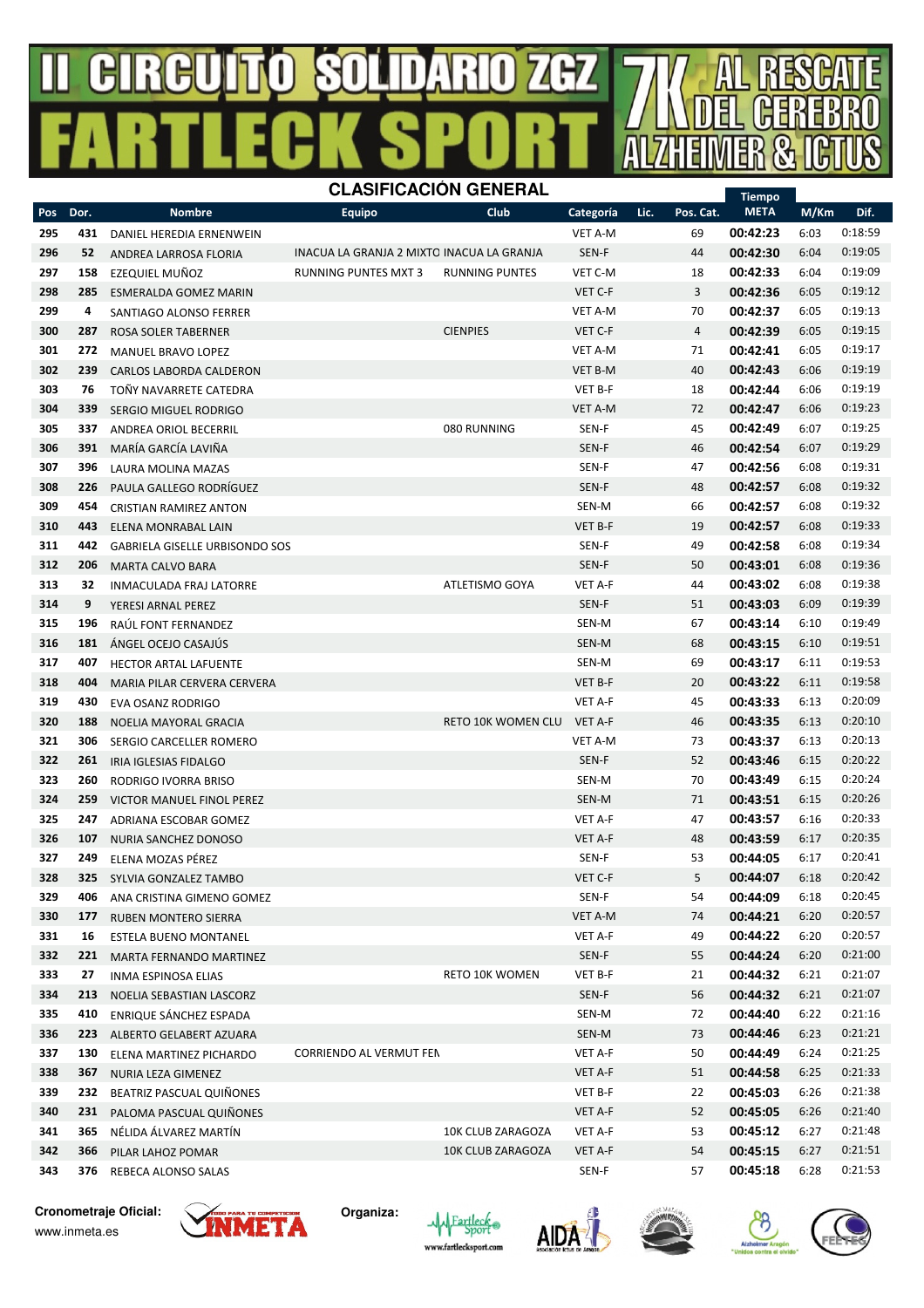#### R  $\mathbf{B}$ R 74HZ 号 A  $\mathbf{I}$  $\vert \vert \vert$ Y.



| Pos        | Dor.       | <b>Nombre</b>                                 | Categoría                                 | Lic.               | Pos. Cat.      | <b>META</b> | M/Km     | Dif.                 |              |                    |
|------------|------------|-----------------------------------------------|-------------------------------------------|--------------------|----------------|-------------|----------|----------------------|--------------|--------------------|
| 295        | 431        | DANIEL HEREDIA ERNENWEIN                      |                                           |                    | VET A-M        |             | 69       | 00:42:23             | 6:03         | 0:18:59            |
| 296        | 52         | ANDREA LARROSA FLORIA                         | INACUA LA GRANJA 2 MIXTO INACUA LA GRANJA |                    | SEN-F          |             | 44       | 00:42:30             | 6:04         | 0:19:05            |
| 297        | 158        | EZEQUIEL MUÑOZ                                | VET C-M                                   |                    | 18             | 00:42:33    | 6:04     | 0:19:09              |              |                    |
| 298        | 285        | ESMERALDA GOMEZ MARIN                         | 3                                         | 00:42:36           | 6:05           | 0:19:12     |          |                      |              |                    |
| 299        | 4          | SANTIAGO ALONSO FERRER                        | 70                                        | 00:42:37           | 6:05           | 0:19:13     |          |                      |              |                    |
| 300        | 287        | ROSA SOLER TABERNER                           | $\overline{4}$                            | 00:42:39           | 6:05           | 0:19:15     |          |                      |              |                    |
| 301        | 272        | VET A-M<br>MANUEL BRAVO LOPEZ                 |                                           |                    |                |             |          | 00:42:41             | 6:05         | 0:19:17            |
| 302        | 239        | <b>CARLOS LABORDA CALDERON</b>                |                                           | <b>VET B-M</b>     |                | 40          | 00:42:43 | 6:06                 | 0:19:19      |                    |
| 303        | 76         | TOÑY NAVARRETE CATEDRA                        |                                           |                    | VET B-F        |             | 18       | 00:42:44             | 6:06         | 0:19:19            |
| 304        | 339        | SERGIO MIGUEL RODRIGO                         |                                           |                    | <b>VET A-M</b> |             | 72       | 00:42:47             | 6:06         | 0:19:23            |
| 305        | 337        | ANDREA ORIOL BECERRIL                         |                                           | 080 RUNNING        | SEN-F          |             | 45       | 00:42:49             | 6:07         | 0:19:25            |
| 306        | 391        | MARÍA GARCÍA LAVIÑA                           |                                           |                    | SEN-F          |             | 46       | 00:42:54             | 6:07         | 0:19:29            |
| 307        | 396        | LAURA MOLINA MAZAS                            |                                           |                    | SEN-F          |             | 47       | 00:42:56             | 6:08         | 0:19:31            |
| 308        | 226        | PAULA GALLEGO RODRÍGUEZ                       |                                           |                    | SEN-F          |             | 48       | 00:42:57             | 6:08         | 0:19:32            |
| 309        | 454        | <b>CRISTIAN RAMIREZ ANTON</b>                 |                                           |                    | SEN-M          |             | 66       | 00:42:57             | 6:08         | 0:19:32            |
| 310        | 443        | ELENA MONRABAL LAIN                           |                                           |                    | VET B-F        |             | 19       | 00:42:57             | 6:08         | 0:19:33            |
| 311        | 442        | GABRIELA GISELLE URBISONDO SOS                |                                           |                    | SEN-F          |             | 49       | 00:42:58             | 6:08         | 0:19:34            |
| 312        | 206        | <b>MARTA CALVO BARA</b>                       |                                           |                    | SEN-F          |             | 50       | 00:43:01             | 6:08         | 0:19:36            |
| 313        | 32         | INMACULADA FRAJ LATORRE                       |                                           | ATLETISMO GOYA     | VET A-F        |             | 44       | 00:43:02             | 6:08         | 0:19:38            |
| 314        | 9          | YERESI ARNAL PEREZ                            |                                           |                    | SEN-F          |             | 51       | 00:43:03             | 6:09         | 0:19:39            |
| 315        | 196        | RAÚL FONT FERNANDEZ                           |                                           |                    | SEN-M          |             | 67       | 00:43:14             | 6:10         | 0:19:49            |
| 316        | 181        | ÁNGEL OCEJO CASAJÚS                           |                                           |                    | SEN-M          |             | 68       | 00:43:15             | 6:10         | 0:19:51            |
| 317        | 407        | <b>HECTOR ARTAL LAFUENTE</b>                  |                                           |                    | SEN-M          |             | 69       | 00:43:17             | 6:11         | 0:19:53            |
| 318        | 404        | MARIA PILAR CERVERA CERVERA                   |                                           |                    | VET B-F        |             | 20       | 00:43:22             | 6:11         | 0:19:58            |
| 319        | 430        | EVA OSANZ RODRIGO                             |                                           |                    | VET A-F        |             | 45       | 00:43:33             | 6:13         | 0:20:09            |
| 320        | 188        | NOELIA MAYORAL GRACIA                         |                                           | RETO 10K WOMEN CLU | VET A-F        |             | 46       | 00:43:35             | 6:13         | 0:20:10            |
| 321<br>322 | 306        | SERGIO CARCELLER ROMERO                       |                                           |                    | VET A-M        |             | 73       | 00:43:37             | 6:13         | 0:20:13<br>0:20:22 |
| 323        | 261<br>260 | IRIA IGLESIAS FIDALGO                         |                                           |                    | SEN-F<br>SEN-M |             | 52<br>70 | 00:43:46<br>00:43:49 | 6:15<br>6:15 | 0:20:24            |
| 324        | 259        | RODRIGO IVORRA BRISO                          |                                           |                    | SEN-M          |             | 71       | 00:43:51             | 6:15         | 0:20:26            |
| 325        | 247        | VICTOR MANUEL FINOL PEREZ                     |                                           |                    | VET A-F        |             | 47       | 00:43:57             | 6:16         | 0:20:33            |
| 326        | 107        | ADRIANA ESCOBAR GOMEZ<br>NURIA SANCHEZ DONOSO |                                           |                    | VET A-F        |             | 48       | 00:43:59             | 6:17         | 0:20:35            |
| 327        | 249        | ELENA MOZAS PÉREZ                             |                                           |                    | SEN-F          |             | 53       | 00:44:05             | 6:17         | 0:20:41            |
| 328        | 325        | SYLVIA GONZALEZ TAMBO                         |                                           |                    | VET C-F        |             | 5        | 00:44:07             | 6:18         | 0:20:42            |
| 329        | 406        | ANA CRISTINA GIMENO GOMEZ                     |                                           |                    | SEN-F          |             | 54       | 00:44:09             | 6:18         | 0:20:45            |
| 330        | 177        | <b>RUBEN MONTERO SIERRA</b>                   |                                           |                    | VET A-M        |             | 74       | 00:44:21             | 6:20         | 0:20:57            |
| 331        | 16         | ESTELA BUENO MONTANEL                         |                                           |                    | VET A-F        |             | 49       | 00:44:22             | 6:20         | 0:20:57            |
| 332        | 221        | MARTA FERNANDO MARTINEZ                       |                                           |                    | SEN-F          |             | 55       | 00:44:24             | 6:20         | 0:21:00            |
| 333        | 27         | INMA ESPINOSA ELIAS                           |                                           | RETO 10K WOMEN     | VET B-F        |             | 21       | 00:44:32             | 6:21         | 0:21:07            |
| 334        | 213        | NOELIA SEBASTIAN LASCORZ                      |                                           |                    | SEN-F          |             | 56       | 00:44:32             | 6:21         | 0:21:07            |
| 335        | 410        | ENRIQUE SÁNCHEZ ESPADA                        |                                           |                    | SEN-M          |             | 72       | 00:44:40             | 6:22         | 0:21:16            |
| 336        | 223        | ALBERTO GELABERT AZUARA                       |                                           |                    | SEN-M          |             | 73       | 00:44:46             | 6:23         | 0:21:21            |
| 337        | 130        | ELENA MARTINEZ PICHARDO                       | CORRIENDO AL VERMUT FEN                   |                    | VET A-F        |             | 50       | 00:44:49             | 6:24         | 0:21:25            |
| 338        | 367        | NURIA LEZA GIMENEZ                            |                                           |                    | VET A-F        |             | 51       | 00:44:58             | 6:25         | 0:21:33            |
| 339        | 232        | BEATRIZ PASCUAL QUIÑONES                      |                                           |                    | VET B-F        |             | 22       | 00:45:03             | 6:26         | 0:21:38            |
| 340        | 231        | PALOMA PASCUAL QUIÑONES                       |                                           |                    | VET A-F        |             | 52       | 00:45:05             | 6:26         | 0:21:40            |
| 341        | 365        | NÉLIDA ÁLVAREZ MARTÍN                         | 10K CLUB ZARAGOZA                         | VET A-F            |                | 53          | 00:45:12 | 6:27                 | 0:21:48      |                    |
| 342        | 366        | PILAR LAHOZ POMAR                             | 10K CLUB ZARAGOZA                         | VET A-F            |                | 54          | 00:45:15 | 6:27                 | 0:21:51      |                    |
| 343        | 376        | REBECA ALONSO SALAS                           |                                           |                    | SEN-F          |             | 57       | 00:45:18             | 6:28         | 0:21:53            |

#### **Cronometraje Oficial:** www.inmeta.es













Tiempo

 $\overline{\mathbf{I}}$ 

E

R E

Ē

历

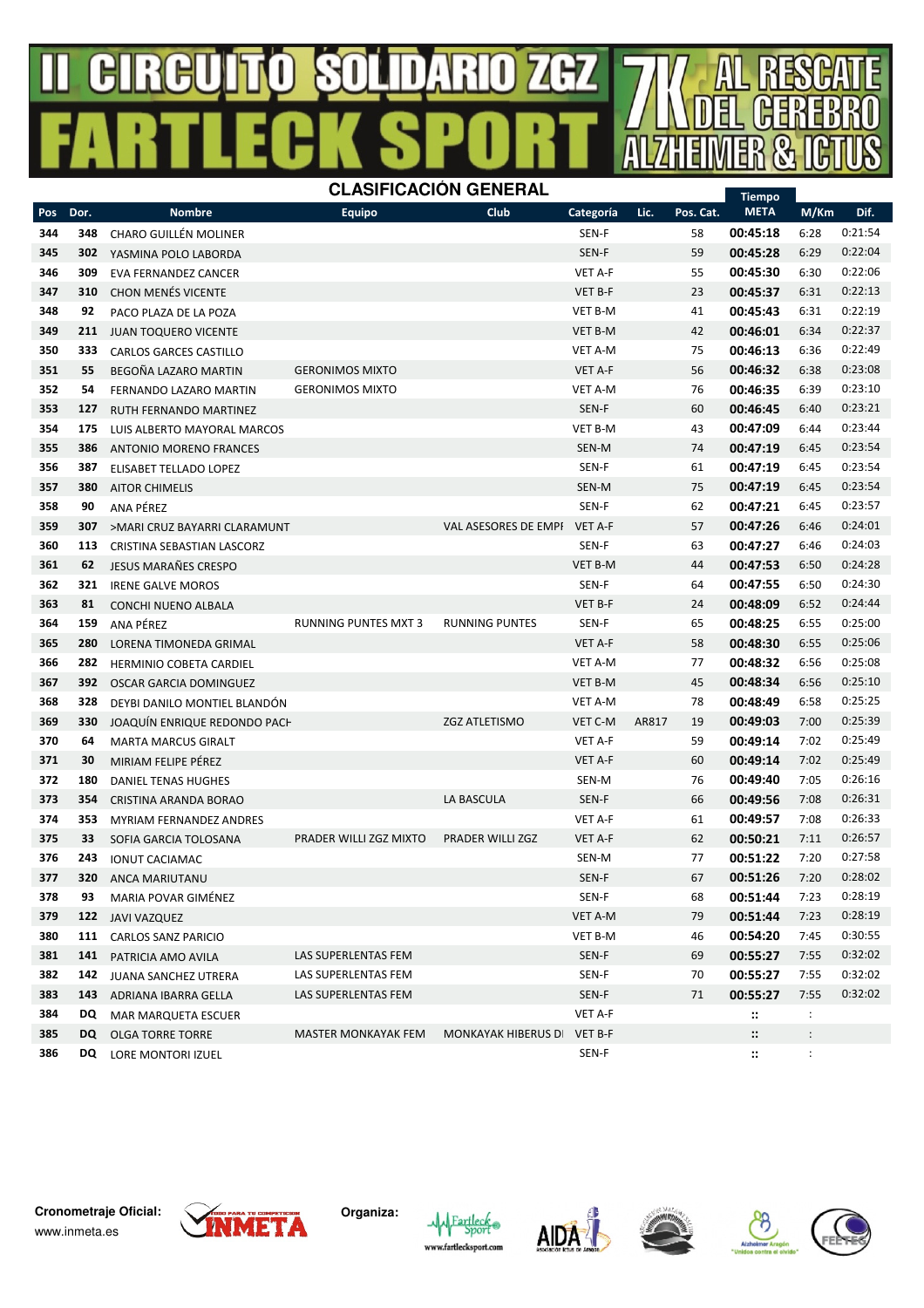#### $\mathbb B$ R  $\mathbf{\mathbf{\underline{I}}}$ R (H7 号 Д Ш I N



|     |      |                                |                             |                           |                |       |           | <b>Tiempo</b>         |                |         |
|-----|------|--------------------------------|-----------------------------|---------------------------|----------------|-------|-----------|-----------------------|----------------|---------|
| Pos | Dor. | <b>Nombre</b>                  | <b>Equipo</b>               | Club                      | Categoría      | Lic.  | Pos. Cat. | <b>META</b>           | M/Km           | Dif.    |
| 344 | 348  | <b>CHARO GUILLÉN MOLINER</b>   |                             |                           | SEN-F          |       | 58        | 00:45:18              | 6:28           | 0:21:54 |
| 345 | 302  | YASMINA POLO LABORDA           |                             |                           | SEN-F          |       | 59        | 00:45:28              | 6:29           | 0:22:04 |
| 346 | 309  | EVA FERNANDEZ CANCER           |                             |                           | <b>VET A-F</b> |       | 55        | 00:45:30              | 6:30           | 0:22:06 |
| 347 | 310  | <b>CHON MENÉS VICENTE</b>      |                             |                           | VET B-F        |       | 23        | 00:45:37              | 6:31           | 0:22:13 |
| 348 | 92   | PACO PLAZA DE LA POZA          |                             |                           | <b>VET B-M</b> |       | 41        | 00:45:43              | 6:31           | 0:22:19 |
| 349 | 211  | <b>JUAN TOQUERO VICENTE</b>    |                             |                           | <b>VET B-M</b> |       | 42        | 00:46:01              | 6:34           | 0:22:37 |
| 350 | 333  | <b>CARLOS GARCES CASTILLO</b>  |                             |                           | VET A-M        |       | 75        | 00:46:13              | 6:36           | 0:22:49 |
| 351 | 55   | BEGOÑA LAZARO MARTIN           | <b>GERONIMOS MIXTO</b>      |                           | VET A-F        |       | 56        | 00:46:32              | 6:38           | 0:23:08 |
| 352 | 54   | FERNANDO LAZARO MARTIN         | <b>GERONIMOS MIXTO</b>      |                           | VET A-M        |       | 76        | 00:46:35              | 6:39           | 0:23:10 |
| 353 | 127  | <b>RUTH FERNANDO MARTINEZ</b>  |                             |                           | SEN-F          |       | 60        | 00:46:45              | 6:40           | 0:23:21 |
| 354 | 175  | LUIS ALBERTO MAYORAL MARCOS    |                             |                           | VET B-M        |       | 43        | 00:47:09              | 6:44           | 0:23:44 |
| 355 | 386  | <b>ANTONIO MORENO FRANCES</b>  |                             |                           | SEN-M          |       | 74        | 00:47:19              | 6:45           | 0:23:54 |
| 356 | 387  | ELISABET TELLADO LOPEZ         |                             |                           | SEN-F          |       | 61        | 00:47:19              | 6:45           | 0:23:54 |
| 357 | 380  | <b>AITOR CHIMELIS</b>          |                             |                           | SEN-M          |       | 75        | 00:47:19              | 6:45           | 0:23:54 |
| 358 | 90   | ANA PÉREZ                      |                             |                           | SEN-F          |       | 62        | 00:47:21              | 6:45           | 0:23:57 |
| 359 | 307  | >MARI CRUZ BAYARRI CLARAMUNT   |                             | VAL ASESORES DE EMPI      | VET A-F        |       | 57        | 00:47:26              | 6:46           | 0:24:01 |
| 360 | 113  | CRISTINA SEBASTIAN LASCORZ     |                             |                           | SEN-F          |       | 63        | 00:47:27              | 6:46           | 0:24:03 |
| 361 | 62   | JESUS MARAÑES CRESPO           |                             |                           | VET B-M        |       | 44        | 00:47:53              | 6:50           | 0:24:28 |
| 362 | 321  | <b>IRENE GALVE MOROS</b>       |                             |                           | SEN-F          |       | 64        | 00:47:55              | 6:50           | 0:24:30 |
| 363 | 81   | CONCHI NUENO ALBALA            |                             |                           | VET B-F        |       | 24        | 00:48:09              | 6:52           | 0:24:44 |
| 364 | 159  | ANA PÉREZ                      | <b>RUNNING PUNTES MXT 3</b> | <b>RUNNING PUNTES</b>     | SEN-F          |       | 65        | 00:48:25              | 6:55           | 0:25:00 |
| 365 | 280  | <b>LORENA TIMONEDA GRIMAL</b>  |                             |                           | <b>VET A-F</b> |       | 58        | 00:48:30              | 6:55           | 0:25:06 |
| 366 | 282  | <b>HERMINIO COBETA CARDIEL</b> |                             |                           | VET A-M        |       | 77        | 00:48:32              | 6:56           | 0:25:08 |
| 367 | 392  | OSCAR GARCIA DOMINGUEZ         |                             |                           | VET B-M        |       | 45        | 00:48:34              | 6:56           | 0:25:10 |
| 368 | 328  | DEYBI DANILO MONTIEL BLANDÓN   |                             |                           | VET A-M        |       | 78        | 00:48:49              | 6:58           | 0:25:25 |
| 369 | 330  | JOAQUÍN ENRIQUE REDONDO PACH   |                             | <b>ZGZ ATLETISMO</b>      | VET C-M        | AR817 | 19        | 00:49:03              | 7:00           | 0:25:39 |
| 370 | 64   | <b>MARTA MARCUS GIRALT</b>     |                             |                           | <b>VET A-F</b> |       | 59        | 00:49:14              | 7:02           | 0:25:49 |
| 371 | 30   | MIRIAM FELIPE PÉREZ            |                             |                           | VET A-F        |       | 60        | 00:49:14              | 7:02           | 0:25:49 |
| 372 | 180  | <b>DANIEL TENAS HUGHES</b>     |                             |                           | SEN-M          |       | 76        | 00:49:40              | 7:05           | 0:26:16 |
| 373 | 354  | CRISTINA ARANDA BORAO          |                             | LA BASCULA                | SEN-F          |       | 66        | 00:49:56              | 7:08           | 0:26:31 |
| 374 | 353  | <b>MYRIAM FERNANDEZ ANDRES</b> |                             |                           | VET A-F        |       | 61        | 00:49:57              | 7:08           | 0:26:33 |
| 375 | 33   | SOFIA GARCIA TOLOSANA          | PRADER WILLI ZGZ MIXTO      | PRADER WILLI ZGZ          | VET A-F        |       | 62        | 00:50:21              | 7:11           | 0:26:57 |
| 376 | 243  | <b>IONUT CACIAMAC</b>          |                             |                           | SEN-M          |       | 77        | 00:51:22              | 7:20           | 0:27:58 |
| 377 | 320  | ANCA MARIUTANU                 |                             |                           | SEN-F          |       | 67        | 00:51:26              | 7:20           | 0:28:02 |
| 378 | 93   | MARIA POVAR GIMÉNEZ            |                             |                           | SEN-F          |       | 68        | 00:51:44              | 7:23           | 0:28:19 |
| 379 |      | 122 JAVI VAZQUEZ               |                             |                           | VET A-M        |       | 79        | 00:51:44              | 7:23           | 0:28:19 |
| 380 |      | 111 CARLOS SANZ PARICIO        |                             |                           | VET B-M        |       | 46        | 00:54:20              | 7:45           | 0:30:55 |
| 381 |      | 141 PATRICIA AMO AVILA         | LAS SUPERLENTAS FEM         |                           | SEN-F          |       | 69        | 00:55:27              | 7:55           | 0:32:02 |
| 382 | 142  | JUANA SANCHEZ UTRERA           | LAS SUPERLENTAS FEM         |                           | SEN-F          |       | 70        | 00:55:27              | 7:55           | 0:32:02 |
| 383 |      | 143 ADRIANA IBARRA GELLA       | LAS SUPERLENTAS FEM         |                           | SEN-F          |       | 71        | 00:55:27              | 7:55           | 0:32:02 |
| 384 | DQ   | MAR MARQUETA ESCUER            |                             |                           | VET A-F        |       |           | $\mathbf{::}$         | $\ddot{\cdot}$ |         |
| 385 | DQ   | <b>OLGA TORRE TORRE</b>        | <b>MASTER MONKAYAK FEM</b>  | <b>MONKAYAK HIBERUS D</b> | VET B-F        |       |           | $\dddot{\phantom{a}}$ | $\ddot{\cdot}$ |         |
| 386 | DQ   | LORE MONTORI IZUEL             |                             |                           | SEN-F          |       |           | $\mathbf{::}$         | $\ddot{\cdot}$ |         |









A

÷

R

历

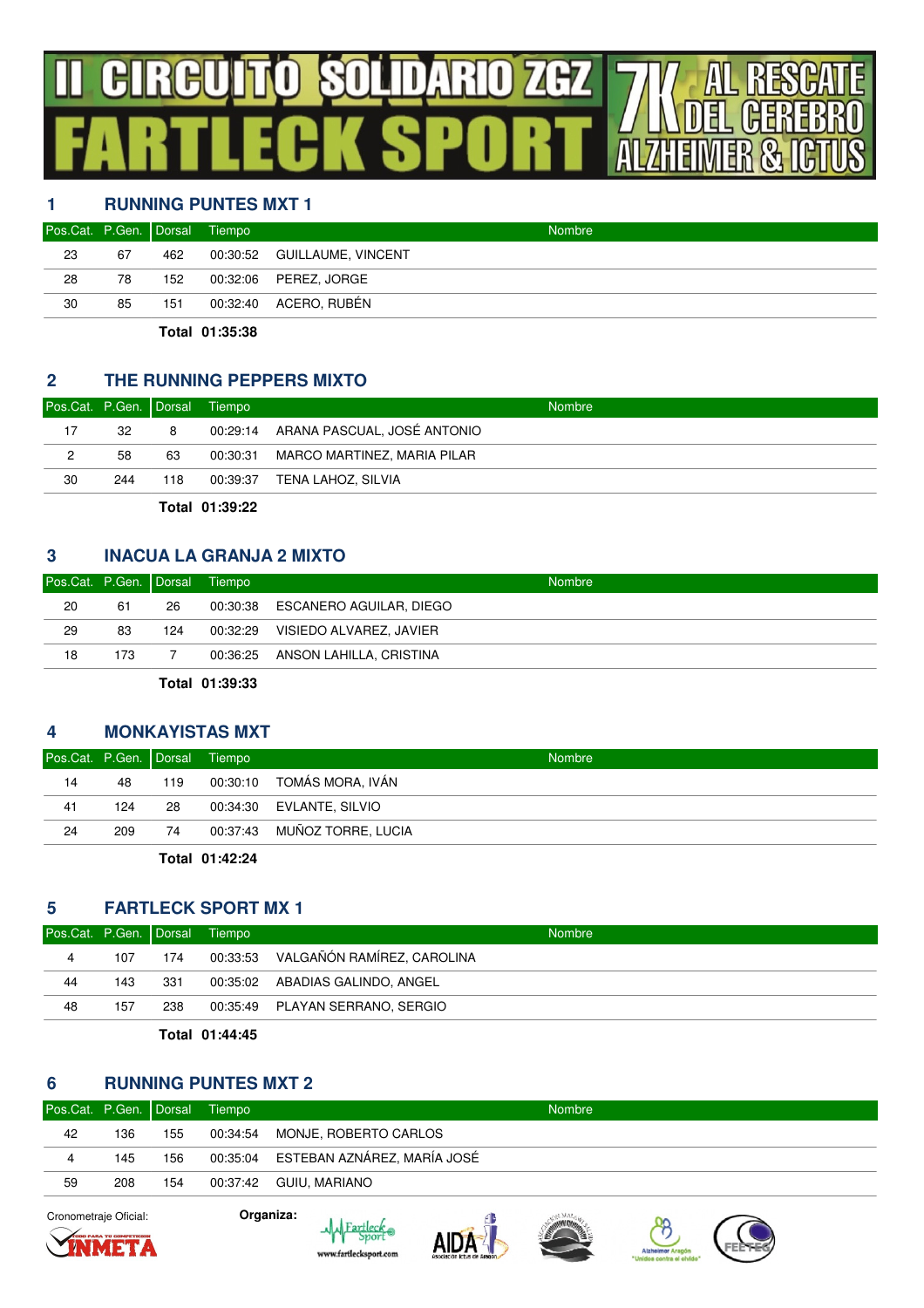## $\bm{\theta}$ **SOLIDARIO ZGZ**  $\mathbf{r}$  $\vert \vert$ R

## **1 RUNNING PUNTES MXT 1**

| 00:30:52 GUILLAUME, VINCENT<br>23<br>67<br>462<br>28<br>00:32:06    PEREZ, JORGE<br>78<br>152 | Pos.Cat. P.Gen. Dorsal Tiempo |    |     | <b>Nombre</b>         |
|-----------------------------------------------------------------------------------------------|-------------------------------|----|-----|-----------------------|
|                                                                                               |                               |    |     |                       |
|                                                                                               |                               |    |     |                       |
|                                                                                               | 30                            | 85 | 151 | 00:32:40 ACERO, RUBÉN |

**Total 01:35:38**

#### **2 THE RUNNING PEPPERS MIXTO**

| Pos.Cat. P.Gen. Dorsal Tiempo |     |     | <b>Nombre</b>                        |
|-------------------------------|-----|-----|--------------------------------------|
| 17                            | 32  | 8   | 00:29:14 ARANA PASCUAL. JOSÉ ANTONIO |
| 2                             | 58  | 63  | 00:30:31 MARCO MARTINEZ, MARIA PILAR |
| 30                            | 244 | 118 | 00:39:37 TENA LAHOZ, SILVIA          |

**Total 01:39:22**

#### **3 INACUA LA GRANJA 2 MIXTO**

| 20<br>00:30:38 ESCANERO AGUILAR, DIEGO<br>61<br>26 |    | Pos.Cat. P.Gen. Dorsal Tiempo |     | <b>Nombre</b>                    |
|----------------------------------------------------|----|-------------------------------|-----|----------------------------------|
|                                                    |    |                               |     |                                  |
|                                                    | 29 | 83                            | 124 | 00:32:29 VISIEDO ALVAREZ, JAVIER |
| 18<br>00:36:25 ANSON LAHILLA, CRISTINA<br>173      |    |                               |     |                                  |

**Total 01:39:33**

#### **4 MONKAYISTAS MXT**

| Pos.Cat. P.Gen. Dorsal Tiempo |     |     | <b>Nombre</b>               |
|-------------------------------|-----|-----|-----------------------------|
| 14                            | 48  | 119 | 00:30:10 TOMÁS MORA, IVÁN   |
| 41                            | 124 | 28  | 00:34:30 EVLANTE, SILVIO    |
| 24                            | 209 | 74  | 00:37:43 MUÑOZ TORRE, LUCIA |
|                               |     |     |                             |

**Total 01:42:24**

#### **5 FARTLECK SPORT MX 1**

| Pos.Cat. P.Gen. Dorsal Tiempo |     |      | <b>Nombre</b>                       |
|-------------------------------|-----|------|-------------------------------------|
| 4                             | 107 | 174  | 00:33:53 VALGAÑÓN RAMÍREZ, CAROLINA |
| 44                            | 143 | -331 | 00:35:02 ABADIAS GALINDO, ANGEL     |
| 48                            | 157 | 238  | 00:35:49 PLAYAN SERRANO, SERGIO     |
|                               |     |      |                                     |

**Total 01:44:45**

### **6 RUNNING PUNTES MXT 2**

| Pos.Cat. P.Gen. Dorsal Tiempo |     |     | <b>Nombre</b>                        |
|-------------------------------|-----|-----|--------------------------------------|
| 42                            | 136 | 155 | 00:34:54 MONJE, ROBERTO CARLOS       |
| 4                             | 145 | 156 | 00:35:04 ESTEBAN AZNÁREZ, MARÍA JOSÉ |
| 59                            | 208 | 154 | 00:37:42 GUIU. MARIANO               |
|                               |     |     |                                      |

Cronometraje Oficial: **Organiza:**









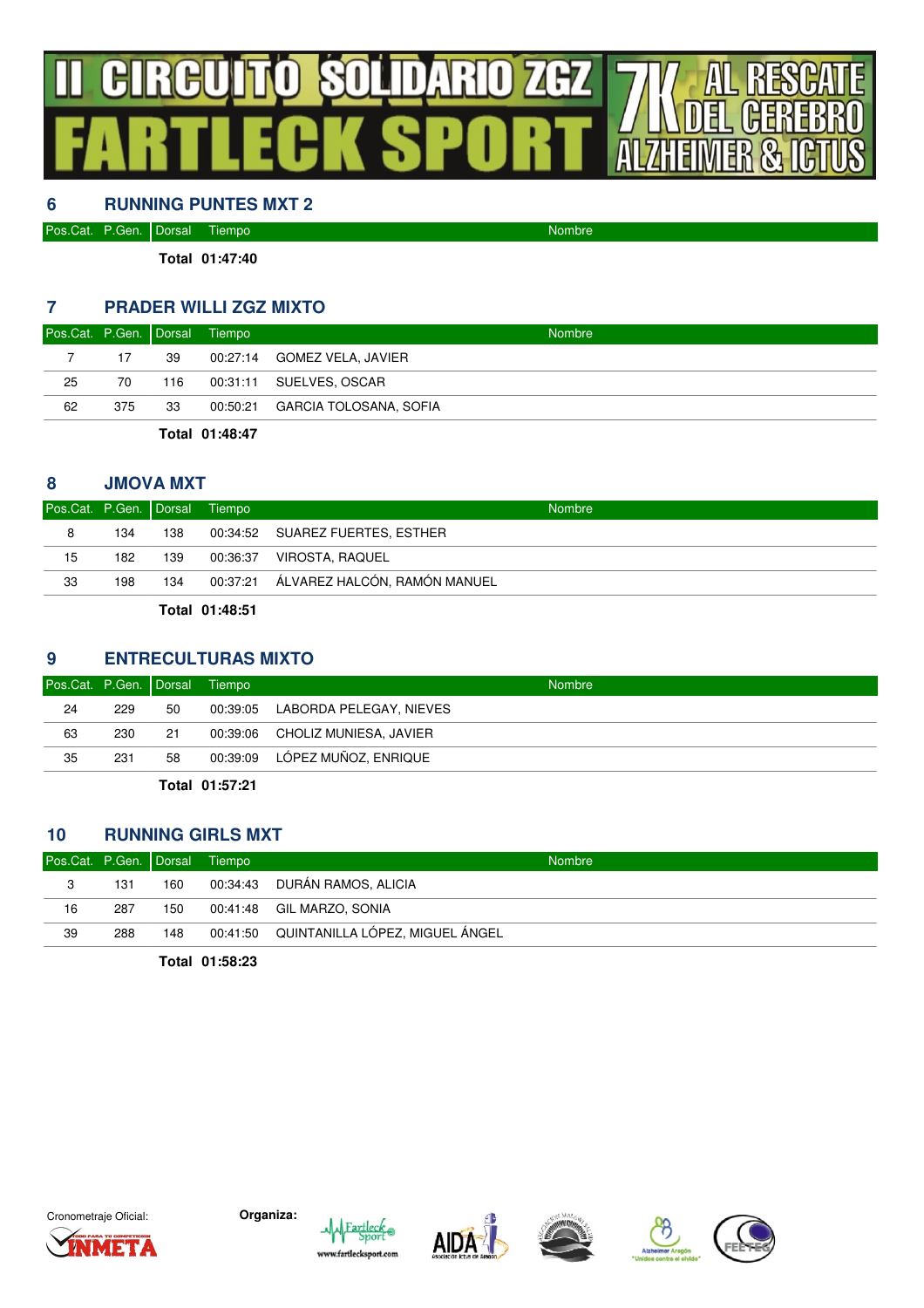## **SOLIDARIO ZGZ** GI  $\mathbb{H}$  $\vert \vert$ R

### **6 RUNNING PUNTES MXT 2**

| Pos.Cat. | . P.Gen. Dorsal | Tiempo | Nombre |
|----------|-----------------|--------|--------|
|          |                 |        |        |

**Total 01:47:40**

#### **7 PRADER WILLI ZGZ MIXTO**

| Pos.Cat. P.Gen. Dorsal Tiempo |     |     |                | <b>Nombre</b>                   |
|-------------------------------|-----|-----|----------------|---------------------------------|
|                               | 17  | -39 |                | 00:27:14 GOMEZ VELA, JAVIER     |
| 25                            | 70  | 116 |                | 00:31:11 SUELVES, OSCAR         |
| 62                            | 375 | 33  |                | 00:50:21 GARCIA TOLOSANA, SOFIA |
|                               |     |     | Total 01:48:47 |                                 |

#### **8 JMOVA MXT**

| Pos.Cat. P.Gen. Dorsal Tiempo |     |     |                | <b>Nombre</b>                         |
|-------------------------------|-----|-----|----------------|---------------------------------------|
| 8                             | 134 | 138 |                | 00:34:52 SUAREZ FUERTES, ESTHER       |
| 15                            | 182 | 139 |                | 00:36:37 VIROSTA, RAQUEL              |
| 33                            | 198 | 134 |                | 00:37:21 ÁLVAREZ HALCÓN, RAMÓN MANUEL |
|                               |     |     | Total 01:48:51 |                                       |

#### **9 ENTRECULTURAS MIXTO**

| Pos.Cat. P.Gen. Dorsal |     |    | Tiempo          | <b>Nombre</b>                    |
|------------------------|-----|----|-----------------|----------------------------------|
| 24                     | 229 | 50 |                 | 00:39:05 LABORDA PELEGAY, NIEVES |
| 63                     | 230 | 21 |                 | 00:39:06 CHOLIZ MUNIESA, JAVIER  |
| 35                     | 231 | 58 |                 | 00:39:09 LÓPEZ MUÑOZ, ENRIQUE    |
|                        |     |    | エレ・レート ハイ・ビス・ハイ |                                  |

**Total 01:57:21**

#### **10 RUNNING GIRLS MXT**

| Pos.Cat. P.Gen. Dorsal Tiempo |     |     | <b>Nombre</b>                            |
|-------------------------------|-----|-----|------------------------------------------|
| 3                             | 131 | 160 | 00:34:43 DURÁN RAMOS, ALICIA             |
| 16                            | 287 | 150 | 00:41:48 GIL MARZO, SONIA                |
| 39                            | 288 | 148 | 00:41:50 QUINTANILLA LÓPEZ, MIGUEL ÁNGEL |
|                               |     |     |                                          |

**Total 01:58:23**











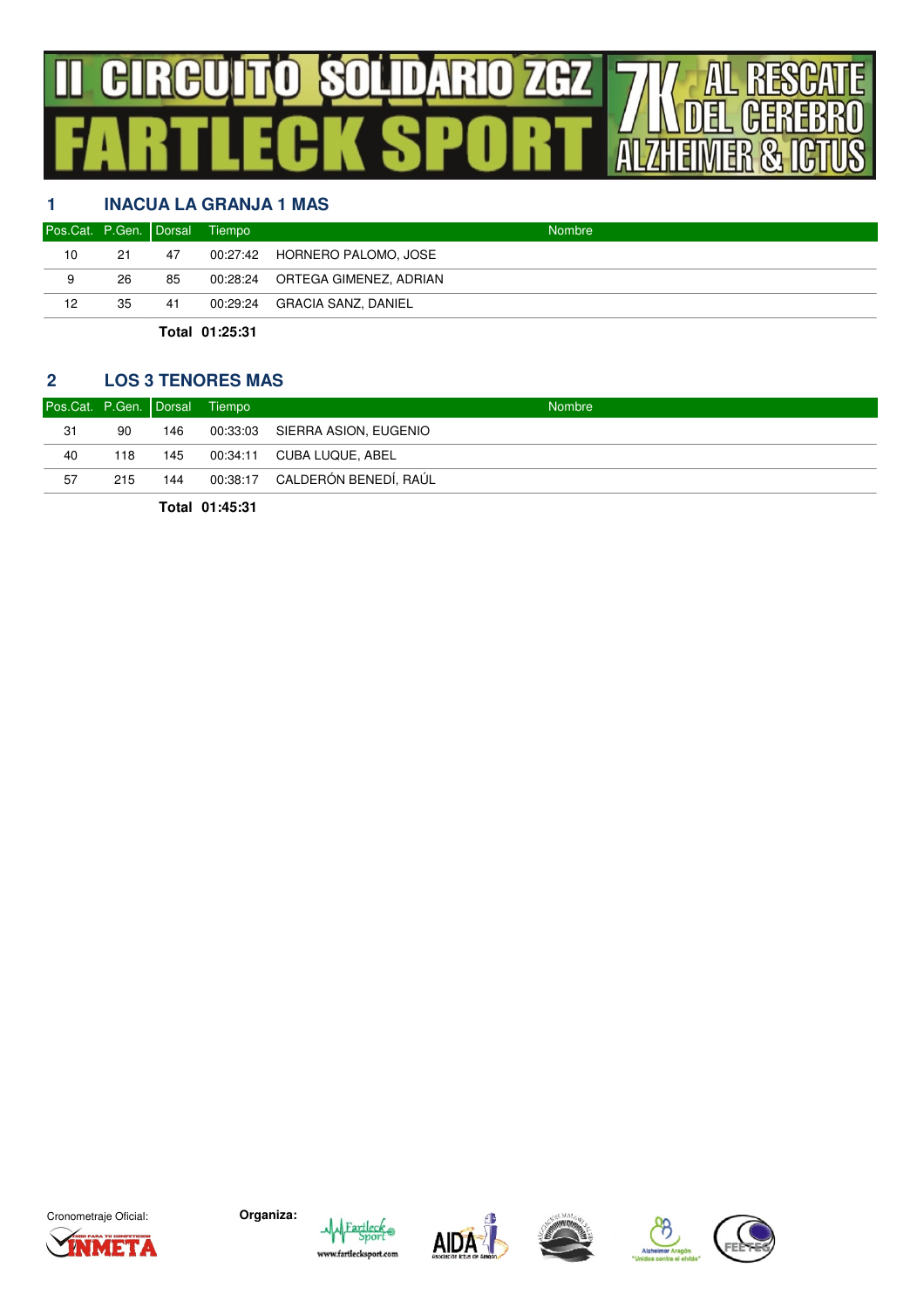## **D SOLIDARIO ZGZ** GIRG J

## **1 INACUA LA GRANJA 1 MAS**

| 10<br>21<br>47 |                                 |
|----------------|---------------------------------|
|                | 00:27:42 HORNERO PALOMO, JOSE   |
| 26<br>9<br>85  | 00:28:24 ORTEGA GIMENEZ, ADRIAN |
| 12<br>35<br>41 | 00:29:24 GRACIA SANZ, DANIEL    |

**Total 01:25:31**

#### **2 LOS 3 TENORES MAS**

| Pos.Cat. P.Gen. Dorsal Tiempo |     |     | <b>Nombre</b>                  |
|-------------------------------|-----|-----|--------------------------------|
| 31                            | 90  | 146 | 00:33:03 SIERRA ASION, EUGENIO |
| 40                            | 118 | 145 | 00:34:11 CUBA LUQUE, ABEL      |
| 57                            | 215 | 144 | 00:38:17 CALDERÓN BENEDÍ, RAÚL |

**Total 01:45:31**











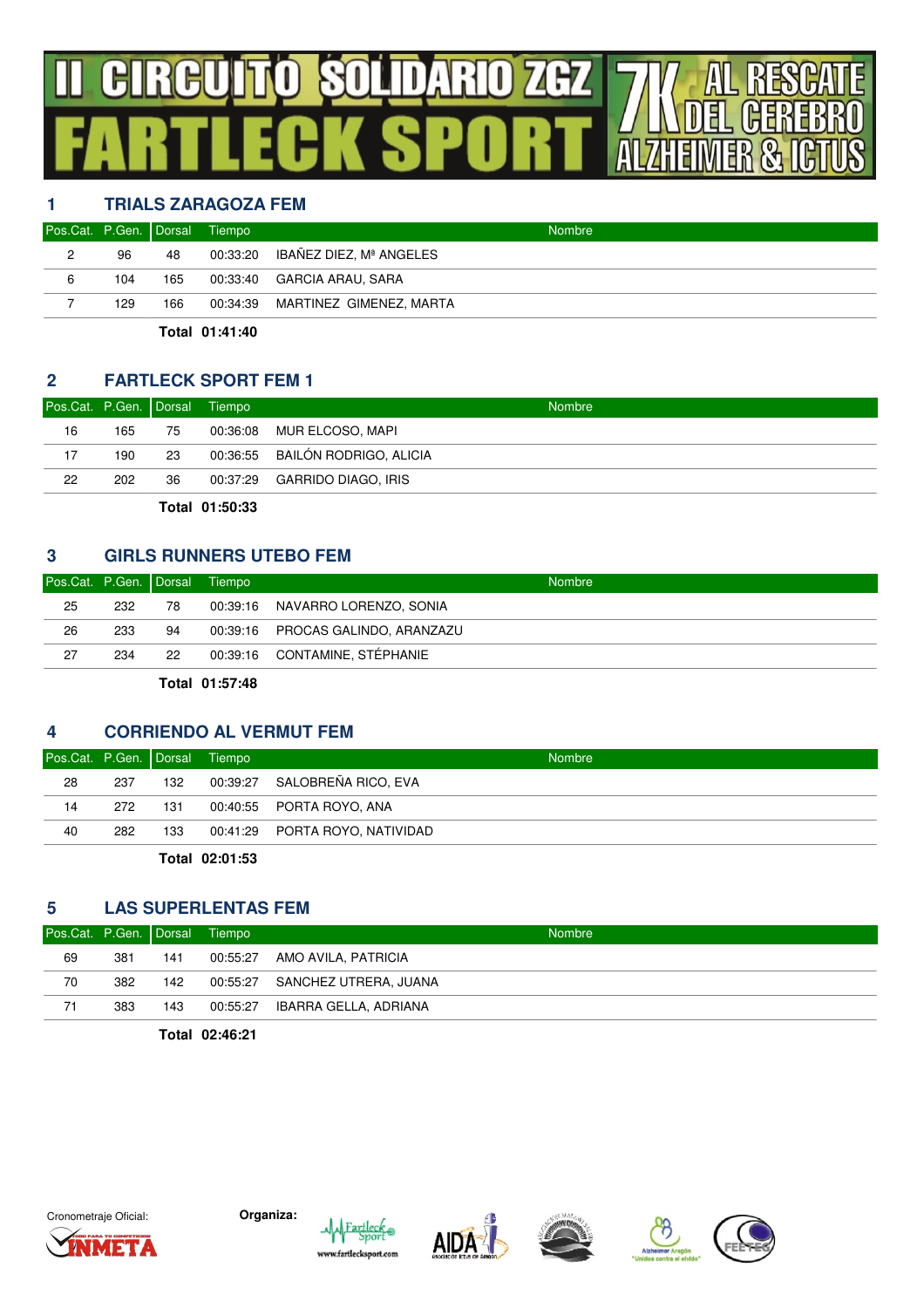## $\bm{\theta}$ **SOLIDARIO ZGZ**  $\mathbb{H}$  $\blacksquare$ ÷.

## **1 TRIALS ZARAGOZA FEM**

| Pos.Cat. P.Gen. Dorsal Tiempo |     |     | <b>Nombre</b>                    |
|-------------------------------|-----|-----|----------------------------------|
| 2                             | 96  | 48  | 00:33:20 IBAÑEZ DIEZ, Mª ANGELES |
| 6                             | 104 | 165 | 00:33:40 GARCIA ARAU, SARA       |
|                               | 129 | 166 | 00:34:39 MARTINEZ GIMENEZ, MARTA |
|                               |     |     |                                  |

**Total 01:41:40**

#### **2 FARTLECK SPORT FEM 1**

| Pos.Cat. P.Gen. Dorsal Tiempo |     |    |          | <b>Nombre</b>                   |
|-------------------------------|-----|----|----------|---------------------------------|
| 16                            | 165 | 75 | 00:36:08 | MUR ELCOSO, MAPI                |
| 17                            | 190 | 23 |          | 00:36:55 BAILÓN RODRIGO, ALICIA |
| 22                            | 202 | 36 |          | 00:37:29 GARRIDO DIAGO, IRIS    |

**Total 01:50:33**

#### **3 GIRLS RUNNERS UTEBO FEM**

| Pos.Cat. P.Gen. Dorsal Tiempo |     |      | <b>Nombre</b>                     |
|-------------------------------|-----|------|-----------------------------------|
| 25                            | 232 | - 78 | 00:39:16 NAVARRO LORENZO, SONIA   |
| 26                            | 233 | 94   | 00:39:16 PROCAS GALINDO, ARANZAZU |
| 27                            | 234 | 22   | 00:39:16 CONTAMINE, STÉPHANIE     |

**Total 01:57:48**

#### **4 CORRIENDO AL VERMUT FEM**

| Pos.Cat. P.Gen. Dorsal Tiempo |     |     | <b>Nombre</b>                  |
|-------------------------------|-----|-----|--------------------------------|
| 28                            | 237 | 132 | 00:39:27 SALOBREÑA RICO, EVA   |
| 14                            | 272 | 131 | 00:40:55 PORTA ROYO, ANA       |
| 40                            | 282 | 133 | 00:41:29 PORTA ROYO, NATIVIDAD |
|                               |     |     |                                |

**Total 02:01:53**

#### **5 LAS SUPERLENTAS FEM**

| Pos.Cat. P.Gen. Dorsal Tiempo |     |     | <b>Nombre</b>                  |
|-------------------------------|-----|-----|--------------------------------|
| 69                            | 381 | 141 | 00:55:27 AMO AVILA, PATRICIA   |
| 70                            | 382 | 142 | 00:55:27 SANCHEZ UTRERA, JUANA |
| 71                            | 383 | 143 | 00:55:27 IBARRA GELLA, ADRIANA |

**Total 02:46:21**